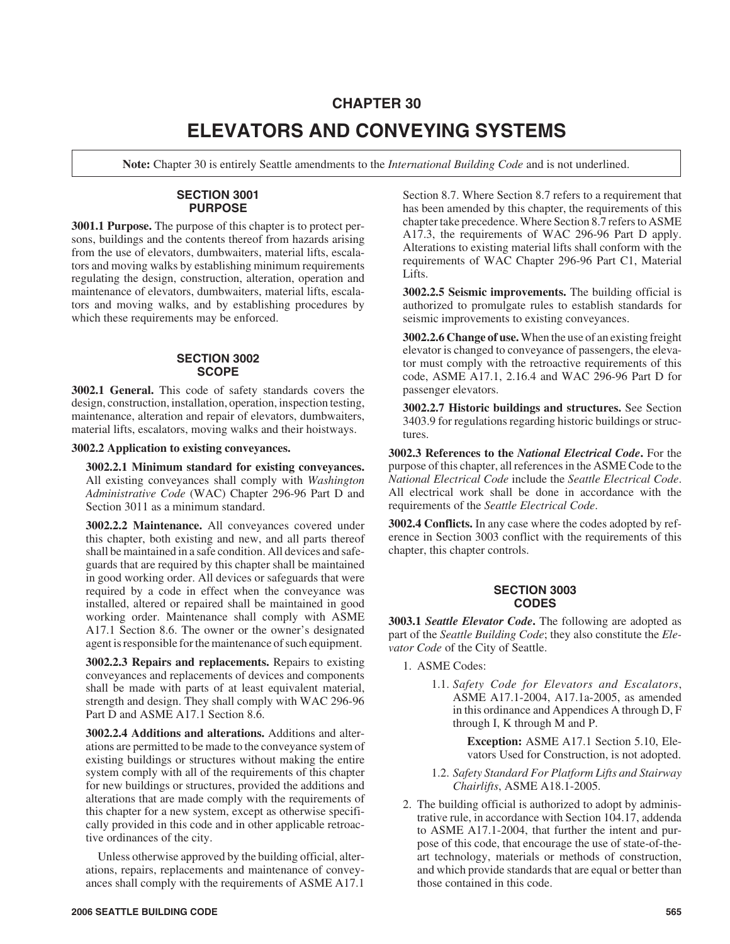# **CHAPTER 30 ELEVATORS AND CONVEYING SYSTEMS**

**Note:** Chapter 30 is entirely Seattle amendments to the *International Building Code* and is not underlined.

# **SECTION 3001 PURPOSE**

**3001.1 Purpose.** The purpose of this chapter is to protect persons, buildings and the contents thereof from hazards arising from the use of elevators, dumbwaiters, material lifts, escalators and moving walks by establishing minimum requirements regulating the design, construction, alteration, operation and maintenance of elevators, dumbwaiters, material lifts, escalators and moving walks, and by establishing procedures by which these requirements may be enforced.

#### **SECTION 3002 SCOPE**

**3002.1 General.** This code of safety standards covers the design, construction, installation, operation, inspection testing, maintenance, alteration and repair of elevators, dumbwaiters, material lifts, escalators, moving walks and their hoistways.

**3002.2 Application to existing conveyances.**

**3002.2.1 Minimum standard for existing conveyances.** All existing conveyances shall comply with *Washington Administrative Code* (WAC) Chapter 296-96 Part D and Section 3011 as a minimum standard.

**3002.2.2 Maintenance.** All conveyances covered under this chapter, both existing and new, and all parts thereof shall be maintained in a safe condition. All devices and safeguards that are required by this chapter shall be maintained in good working order. All devices or safeguards that were required by a code in effect when the conveyance was installed, altered or repaired shall be maintained in good working order. Maintenance shall comply with ASME A17.1 Section 8.6. The owner or the owner's designated agent is responsible for the maintenance of such equipment.

**3002.2.3 Repairs and replacements.** Repairs to existing conveyances and replacements of devices and components shall be made with parts of at least equivalent material, strength and design. They shall comply with WAC 296-96 Part D and ASME A17.1 Section 8.6.

**3002.2.4 Additions and alterations.** Additions and alterations are permitted to be made to the conveyance system of existing buildings or structures without making the entire system comply with all of the requirements of this chapter for new buildings or structures, provided the additions and alterations that are made comply with the requirements of this chapter for a new system, except as otherwise specifically provided in this code and in other applicable retroactive ordinances of the city.

Unless otherwise approved by the building official, alterations, repairs, replacements and maintenance of conveyances shall comply with the requirements of ASME A17.1

Section 8.7. Where Section 8.7 refers to a requirement that has been amended by this chapter, the requirements of this chapter take precedence. Where Section 8.7 refers to ASME A17.3, the requirements of WAC 296-96 Part D apply. Alterations to existing material lifts shall conform with the requirements of WAC Chapter 296-96 Part C1, Material Lifts.

**3002.2.5 Seismic improvements.** The building official is authorized to promulgate rules to establish standards for seismic improvements to existing conveyances.

**3002.2.6 Change of use.**When the use of an existing freight elevator is changed to conveyance of passengers, the elevator must comply with the retroactive requirements of this code, ASME A17.1, 2.16.4 and WAC 296-96 Part D for passenger elevators.

**3002.2.7 Historic buildings and structures.** See Section 3403.9 for regulations regarding historic buildings or structures.

**3002.3 References to the** *National Electrical Code***.** For the purpose of this chapter, all references in the ASME Code to the *National Electrical Code* include the *Seattle Electrical Code*. All electrical work shall be done in accordance with the requirements of the *Seattle Electrical Code*.

**3002.4 Conflicts.** In any case where the codes adopted by reference in Section 3003 conflict with the requirements of this chapter, this chapter controls.

# **SECTION 3003 CODES**

**3003.1** *Seattle Elevator Code***.** The following are adopted as part of the *Seattle Building Code*; they also constitute the *Elevator Code* of the City of Seattle.

- 1. ASME Codes:
	- 1.1. *Safety Code for Elevators and Escalators*, ASME A17.1-2004, A17.1a-2005, as amended in this ordinance and Appendices A through D, F through I, K through M and P.

**Exception:** ASME A17.1 Section 5.10, Elevators Used for Construction, is not adopted.

- 1.2. *Safety Standard For Platform Lifts and Stairway Chairlifts*, ASME A18.1-2005.
- 2. The building official is authorized to adopt by administrative rule, in accordance with Section 104.17, addenda to ASME A17.1-2004, that further the intent and purpose of this code, that encourage the use of state-of-theart technology, materials or methods of construction, and which provide standards that are equal or better than those contained in this code.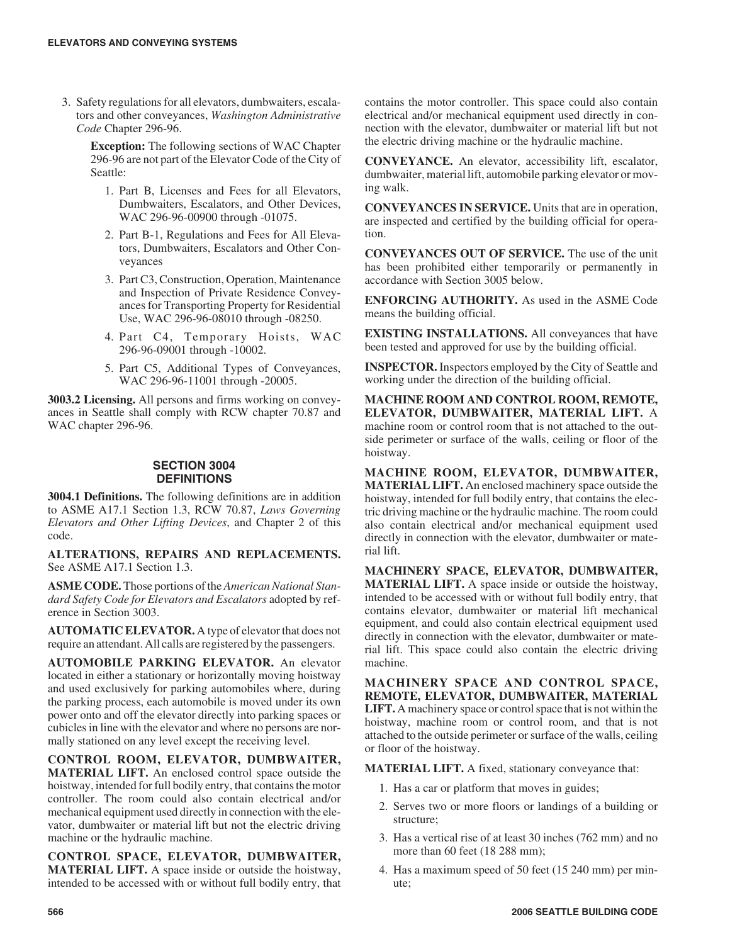3. Safety regulations for all elevators, dumbwaiters, escalators and other conveyances, *Washington Administrative Code* Chapter 296-96.

> **Exception:** The following sections of WAC Chapter 296-96 are not part of the Elevator Code of the City of Seattle:

- 1. Part B, Licenses and Fees for all Elevators, Dumbwaiters, Escalators, and Other Devices, WAC 296-96-00900 through -01075.
- 2. Part B-1, Regulations and Fees for All Elevators, Dumbwaiters, Escalators and Other Conveyances
- 3. Part C3, Construction, Operation, Maintenance and Inspection of Private Residence Conveyances for Transporting Property for Residential Use, WAC 296-96-08010 through -08250.
- 4. Part C4, Temporary Hoists, WAC 296-96-09001 through -10002.
- 5. Part C5, Additional Types of Conveyances, WAC 296-96-11001 through -20005.

**3003.2 Licensing.** All persons and firms working on conveyances in Seattle shall comply with RCW chapter 70.87 and WAC chapter 296-96.

# **SECTION 3004 DEFINITIONS**

**3004.1 Definitions.** The following definitions are in addition to ASME A17.1 Section 1.3, RCW 70.87, *Laws Governing Elevators and Other Lifting Devices*, and Chapter 2 of this code.

**ALTERATIONS, REPAIRS AND REPLACEMENTS.** See ASME A17.1 Section 1.3.

**ASME CODE.** Those portions of the *American National Standard Safety Code for Elevators and Escalators* adopted by reference in Section 3003.

**AUTOMATIC ELEVATOR.** A type of elevator that does not require an attendant. All calls are registered by the passengers.

**AUTOMOBILE PARKING ELEVATOR.** An elevator located in either a stationary or horizontally moving hoistway and used exclusively for parking automobiles where, during the parking process, each automobile is moved under its own power onto and off the elevator directly into parking spaces or cubicles in line with the elevator and where no persons are normally stationed on any level except the receiving level.

**CONTROL ROOM, ELEVATOR, DUMBWAITER, MATERIAL LIFT.** An enclosed control space outside the hoistway, intended for full bodily entry, that contains the motor controller. The room could also contain electrical and/or mechanical equipment used directly in connection with the elevator, dumbwaiter or material lift but not the electric driving machine or the hydraulic machine.

**CONTROL SPACE, ELEVATOR, DUMBWAITER, MATERIAL LIFT.** A space inside or outside the hoistway, intended to be accessed with or without full bodily entry, that

contains the motor controller. This space could also contain electrical and/or mechanical equipment used directly in connection with the elevator, dumbwaiter or material lift but not the electric driving machine or the hydraulic machine.

**CONVEYANCE.** An elevator, accessibility lift, escalator, dumbwaiter, material lift, automobile parking elevator or moving walk.

**CONVEYANCES IN SERVICE.** Units that are in operation, are inspected and certified by the building official for operation.

**CONVEYANCES OUT OF SERVICE.** The use of the unit has been prohibited either temporarily or permanently in accordance with Section 3005 below.

**ENFORCING AUTHORITY.** As used in the ASME Code means the building official.

**EXISTING INSTALLATIONS.** All conveyances that have been tested and approved for use by the building official.

**INSPECTOR.** Inspectors employed by the City of Seattle and working under the direction of the building official.

**MACHINE ROOM AND CONTROL ROOM, REMOTE, ELEVATOR, DUMBWAITER, MATERIAL LIFT.** A machine room or control room that is not attached to the outside perimeter or surface of the walls, ceiling or floor of the hoistway.

**MACHINE ROOM, ELEVATOR, DUMBWAITER, MATERIAL LIFT.** An enclosed machinery space outside the hoistway, intended for full bodily entry, that contains the electric driving machine or the hydraulic machine. The room could also contain electrical and/or mechanical equipment used directly in connection with the elevator, dumbwaiter or material lift.

**MACHINERY SPACE, ELEVATOR, DUMBWAITER, MATERIAL LIFT.** A space inside or outside the hoistway, intended to be accessed with or without full bodily entry, that contains elevator, dumbwaiter or material lift mechanical equipment, and could also contain electrical equipment used directly in connection with the elevator, dumbwaiter or material lift. This space could also contain the electric driving machine.

**MACHINERY SPACE AND CONTROL SPACE, REMOTE, ELEVATOR, DUMBWAITER, MATERIAL LIFT.** A machinery space or control space that is not within the hoistway, machine room or control room, and that is not attached to the outside perimeter or surface of the walls, ceiling or floor of the hoistway.

**MATERIAL LIFT.** A fixed, stationary conveyance that:

- 1. Has a car or platform that moves in guides;
- 2. Serves two or more floors or landings of a building or structure;
- 3. Has a vertical rise of at least 30 inches (762 mm) and no more than 60 feet (18 288 mm);
- 4. Has a maximum speed of 50 feet (15 240 mm) per minute;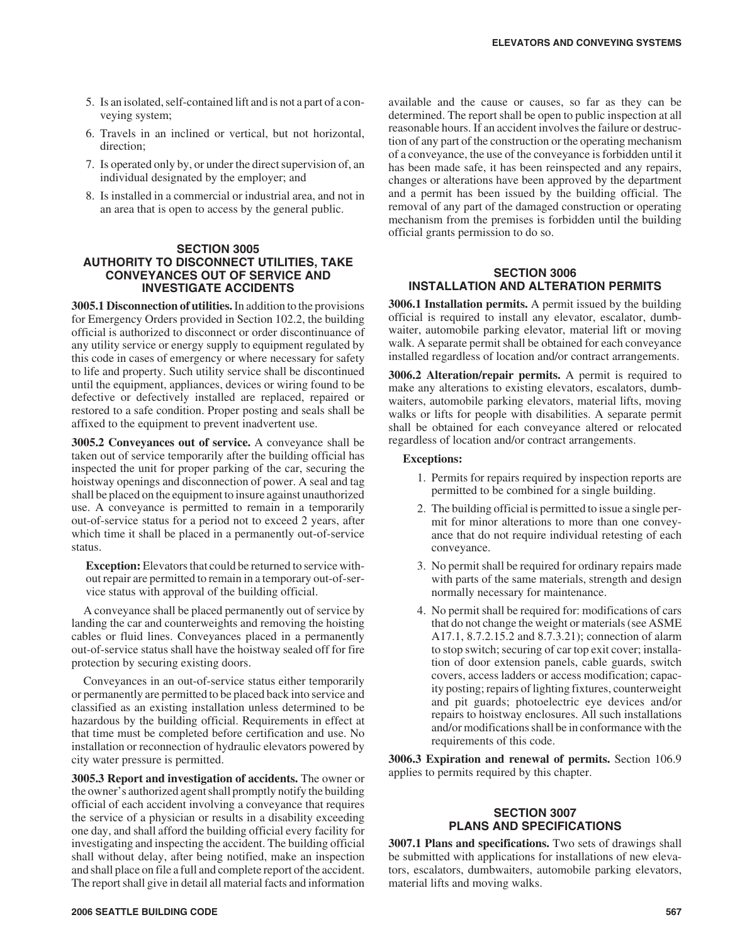- 5. Is an isolated, self-contained lift and is not a part of a conveying system;
- 6. Travels in an inclined or vertical, but not horizontal, direction;
- 7. Is operated only by, or under the direct supervision of, an individual designated by the employer; and
- 8. Is installed in a commercial or industrial area, and not in an area that is open to access by the general public.

# **SECTION 3005 AUTHORITY TO DISCONNECT UTILITIES, TAKE CONVEYANCES OUT OF SERVICE AND INVESTIGATE ACCIDENTS**

**3005.1 Disconnection of utilities.**In addition to the provisions for Emergency Orders provided in Section 102.2, the building official is authorized to disconnect or order discontinuance of any utility service or energy supply to equipment regulated by this code in cases of emergency or where necessary for safety to life and property. Such utility service shall be discontinued until the equipment, appliances, devices or wiring found to be defective or defectively installed are replaced, repaired or restored to a safe condition. Proper posting and seals shall be affixed to the equipment to prevent inadvertent use.

**3005.2 Conveyances out of service.** A conveyance shall be taken out of service temporarily after the building official has inspected the unit for proper parking of the car, securing the hoistway openings and disconnection of power. A seal and tag shall be placed on the equipment to insure against unauthorized use. A conveyance is permitted to remain in a temporarily out-of-service status for a period not to exceed 2 years, after which time it shall be placed in a permanently out-of-service status.

**Exception:** Elevators that could be returned to service without repair are permitted to remain in a temporary out-of-service status with approval of the building official.

A conveyance shall be placed permanently out of service by landing the car and counterweights and removing the hoisting cables or fluid lines. Conveyances placed in a permanently out-of-service status shall have the hoistway sealed off for fire protection by securing existing doors.

Conveyances in an out-of-service status either temporarily or permanently are permitted to be placed back into service and classified as an existing installation unless determined to be hazardous by the building official. Requirements in effect at that time must be completed before certification and use. No installation or reconnection of hydraulic elevators powered by city water pressure is permitted.

**3005.3 Report and investigation of accidents.** The owner or the owner's authorized agent shall promptly notify the building official of each accident involving a conveyance that requires the service of a physician or results in a disability exceeding one day, and shall afford the building official every facility for investigating and inspecting the accident. The building official shall without delay, after being notified, make an inspection and shall place on file a full and complete report of the accident. The report shall give in detail all material facts and information

available and the cause or causes, so far as they can be determined. The report shall be open to public inspection at all reasonable hours. If an accident involves the failure or destruction of any part of the construction or the operating mechanism of a conveyance, the use of the conveyance is forbidden until it has been made safe, it has been reinspected and any repairs, changes or alterations have been approved by the department and a permit has been issued by the building official. The removal of any part of the damaged construction or operating mechanism from the premises is forbidden until the building official grants permission to do so.

# **SECTION 3006 INSTALLATION AND ALTERATION PERMITS**

**3006.1 Installation permits.** A permit issued by the building official is required to install any elevator, escalator, dumbwaiter, automobile parking elevator, material lift or moving walk. A separate permit shall be obtained for each conveyance installed regardless of location and/or contract arrangements.

**3006.2 Alteration/repair permits.** A permit is required to make any alterations to existing elevators, escalators, dumbwaiters, automobile parking elevators, material lifts, moving walks or lifts for people with disabilities. A separate permit shall be obtained for each conveyance altered or relocated regardless of location and/or contract arrangements.

# **Exceptions:**

- 1. Permits for repairs required by inspection reports are permitted to be combined for a single building.
- 2. The building official is permitted to issue a single permit for minor alterations to more than one conveyance that do not require individual retesting of each conveyance.
- 3. No permit shall be required for ordinary repairs made with parts of the same materials, strength and design normally necessary for maintenance.
- 4. No permit shall be required for: modifications of cars that do not change the weight or materials (see ASME A17.1, 8.7.2.15.2 and 8.7.3.21); connection of alarm to stop switch; securing of car top exit cover; installation of door extension panels, cable guards, switch covers, access ladders or access modification; capacity posting; repairs of lighting fixtures, counterweight and pit guards; photoelectric eye devices and/or repairs to hoistway enclosures. All such installations and/or modifications shall be in conformance with the requirements of this code.

**3006.3 Expiration and renewal of permits.** Section 106.9 applies to permits required by this chapter.

# **SECTION 3007 PLANS AND SPECIFICATIONS**

**3007.1 Plans and specifications.** Two sets of drawings shall be submitted with applications for installations of new elevators, escalators, dumbwaiters, automobile parking elevators, material lifts and moving walks.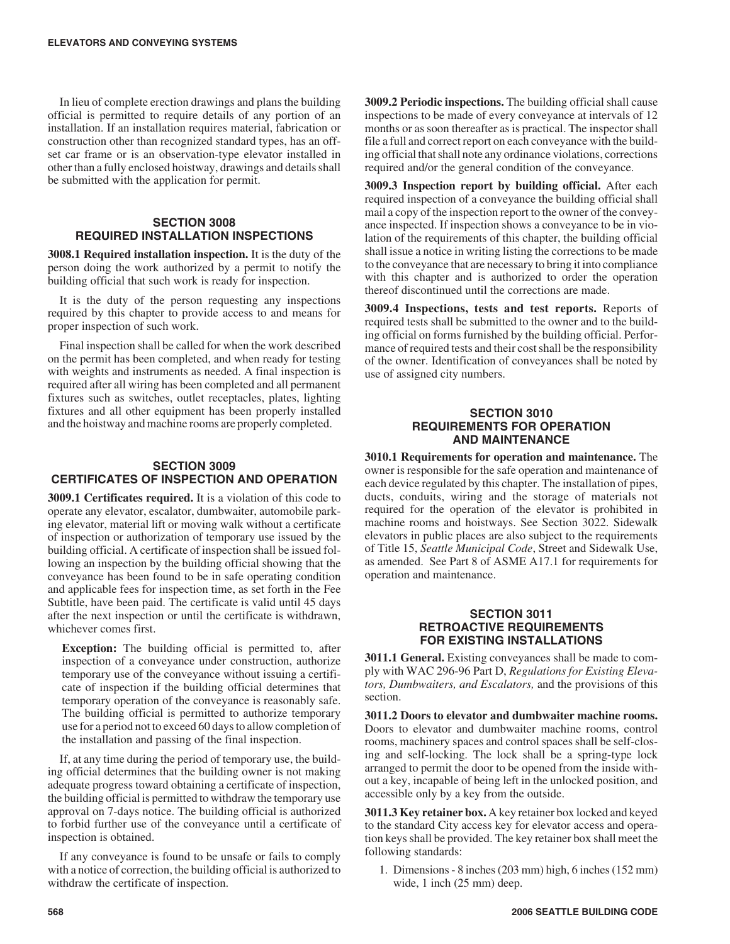In lieu of complete erection drawings and plans the building official is permitted to require details of any portion of an installation. If an installation requires material, fabrication or construction other than recognized standard types, has an offset car frame or is an observation-type elevator installed in other than a fully enclosed hoistway, drawings and details shall be submitted with the application for permit.

# **SECTION 3008 REQUIRED INSTALLATION INSPECTIONS**

**3008.1 Required installation inspection.** It is the duty of the person doing the work authorized by a permit to notify the building official that such work is ready for inspection.

It is the duty of the person requesting any inspections required by this chapter to provide access to and means for proper inspection of such work.

Final inspection shall be called for when the work described on the permit has been completed, and when ready for testing with weights and instruments as needed. A final inspection is required after all wiring has been completed and all permanent fixtures such as switches, outlet receptacles, plates, lighting fixtures and all other equipment has been properly installed and the hoistway and machine rooms are properly completed.

# **SECTION 3009 CERTIFICATES OF INSPECTION AND OPERATION**

**3009.1 Certificates required.** It is a violation of this code to operate any elevator, escalator, dumbwaiter, automobile parking elevator, material lift or moving walk without a certificate of inspection or authorization of temporary use issued by the building official. A certificate of inspection shall be issued following an inspection by the building official showing that the conveyance has been found to be in safe operating condition and applicable fees for inspection time, as set forth in the Fee Subtitle, have been paid. The certificate is valid until 45 days after the next inspection or until the certificate is withdrawn, whichever comes first.

**Exception:** The building official is permitted to, after inspection of a conveyance under construction, authorize temporary use of the conveyance without issuing a certificate of inspection if the building official determines that temporary operation of the conveyance is reasonably safe. The building official is permitted to authorize temporary use for a period not to exceed 60 days to allow completion of the installation and passing of the final inspection.

If, at any time during the period of temporary use, the building official determines that the building owner is not making adequate progress toward obtaining a certificate of inspection, the building official is permitted to withdraw the temporary use approval on 7-days notice. The building official is authorized to forbid further use of the conveyance until a certificate of inspection is obtained.

If any conveyance is found to be unsafe or fails to comply with a notice of correction, the building official is authorized to withdraw the certificate of inspection.

**3009.2 Periodic inspections.** The building official shall cause inspections to be made of every conveyance at intervals of 12 months or as soon thereafter as is practical. The inspector shall file a full and correct report on each conveyance with the building official that shall note any ordinance violations, corrections required and/or the general condition of the conveyance.

**3009.3 Inspection report by building official.** After each required inspection of a conveyance the building official shall mail a copy of the inspection report to the owner of the conveyance inspected. If inspection shows a conveyance to be in violation of the requirements of this chapter, the building official shall issue a notice in writing listing the corrections to be made to the conveyance that are necessary to bring it into compliance with this chapter and is authorized to order the operation thereof discontinued until the corrections are made.

**3009.4 Inspections, tests and test reports.** Reports of required tests shall be submitted to the owner and to the building official on forms furnished by the building official. Performance of required tests and their cost shall be the responsibility of the owner. Identification of conveyances shall be noted by use of assigned city numbers.

# **SECTION 3010 REQUIREMENTS FOR OPERATION AND MAINTENANCE**

**3010.1 Requirements for operation and maintenance.** The owner is responsible for the safe operation and maintenance of each device regulated by this chapter. The installation of pipes, ducts, conduits, wiring and the storage of materials not required for the operation of the elevator is prohibited in machine rooms and hoistways. See Section 3022. Sidewalk elevators in public places are also subject to the requirements of Title 15, *Seattle Municipal Code*, Street and Sidewalk Use, as amended. See Part 8 of ASME A17.1 for requirements for operation and maintenance.

#### **SECTION 3011 RETROACTIVE REQUIREMENTS FOR EXISTING INSTALLATIONS**

**3011.1 General.** Existing conveyances shall be made to comply with WAC 296-96 Part D, *Regulations for Existing Elevators, Dumbwaiters, and Escalators,* and the provisions of this section.

**3011.2 Doors to elevator and dumbwaiter machine rooms.** Doors to elevator and dumbwaiter machine rooms, control rooms, machinery spaces and control spaces shall be self-closing and self-locking. The lock shall be a spring-type lock arranged to permit the door to be opened from the inside without a key, incapable of being left in the unlocked position, and accessible only by a key from the outside.

**3011.3 Key retainer box.** A key retainer box locked and keyed to the standard City access key for elevator access and operation keys shall be provided. The key retainer box shall meet the following standards:

1. Dimensions - 8 inches (203 mm) high, 6 inches (152 mm) wide, 1 inch (25 mm) deep.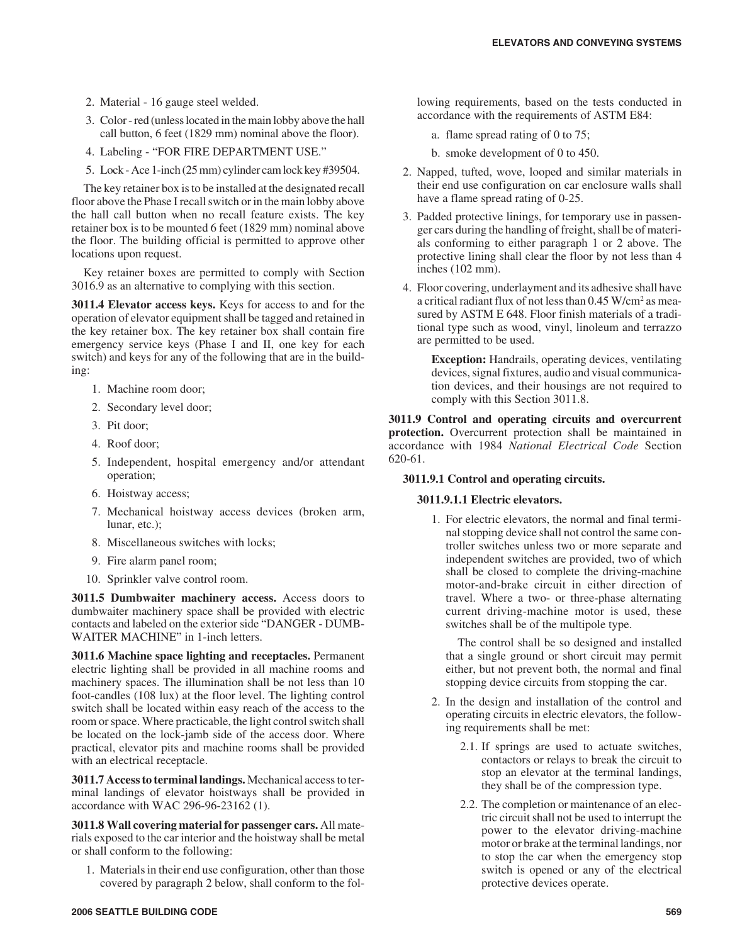- 2. Material 16 gauge steel welded.
- 3. Color red (unless located in the main lobby above the hall call button, 6 feet (1829 mm) nominal above the floor).
- 4. Labeling "FOR FIRE DEPARTMENT USE."
- 5. Lock Ace 1-inch (25 mm) cylinder cam lock key #39504.

The key retainer box is to be installed at the designated recall floor above the Phase I recall switch or in the main lobby above the hall call button when no recall feature exists. The key retainer box is to be mounted 6 feet (1829 mm) nominal above the floor. The building official is permitted to approve other locations upon request.

Key retainer boxes are permitted to comply with Section 3016.9 as an alternative to complying with this section.

**3011.4 Elevator access keys.** Keys for access to and for the operation of elevator equipment shall be tagged and retained in the key retainer box. The key retainer box shall contain fire emergency service keys (Phase I and II, one key for each switch) and keys for any of the following that are in the building:

- 1. Machine room door;
- 2. Secondary level door;
- 3. Pit door;
- 4. Roof door;
- 5. Independent, hospital emergency and/or attendant operation;
- 6. Hoistway access;
- 7. Mechanical hoistway access devices (broken arm, lunar, etc.);
- 8. Miscellaneous switches with locks;
- 9. Fire alarm panel room;
- 10. Sprinkler valve control room.

**3011.5 Dumbwaiter machinery access.** Access doors to dumbwaiter machinery space shall be provided with electric contacts and labeled on the exterior side "DANGER - DUMB-WAITER MACHINE" in 1-inch letters.

**3011.6 Machine space lighting and receptacles.** Permanent electric lighting shall be provided in all machine rooms and machinery spaces. The illumination shall be not less than 10 foot-candles (108 lux) at the floor level. The lighting control switch shall be located within easy reach of the access to the room or space. Where practicable, the light control switch shall be located on the lock-jamb side of the access door. Where practical, elevator pits and machine rooms shall be provided with an electrical receptacle.

**3011.7 Access to terminal landings.** Mechanical access to terminal landings of elevator hoistways shall be provided in accordance with WAC 296-96-23162 (1).

**3011.8 Wall covering material for passenger cars.** All materials exposed to the car interior and the hoistway shall be metal or shall conform to the following:

1. Materials in their end use configuration, other than those covered by paragraph 2 below, shall conform to the following requirements, based on the tests conducted in accordance with the requirements of ASTM E84:

- a. flame spread rating of 0 to 75;
- b. smoke development of 0 to 450.
- 2. Napped, tufted, wove, looped and similar materials in their end use configuration on car enclosure walls shall have a flame spread rating of 0-25.
- 3. Padded protective linings, for temporary use in passenger cars during the handling of freight, shall be of materials conforming to either paragraph 1 or 2 above. The protective lining shall clear the floor by not less than 4 inches (102 mm).
- 4. Floor covering, underlayment and its adhesive shall have a critical radiant flux of not less than 0.45 W/cm2 as measured by ASTM E 648. Floor finish materials of a traditional type such as wood, vinyl, linoleum and terrazzo are permitted to be used.

**Exception:** Handrails, operating devices, ventilating devices, signal fixtures, audio and visual communication devices, and their housings are not required to comply with this Section 3011.8.

**3011.9 Control and operating circuits and overcurrent protection.** Overcurrent protection shall be maintained in accordance with 1984 *National Electrical Code* Section 620-61.

#### **3011.9.1 Control and operating circuits.**

#### **3011.9.1.1 Electric elevators.**

1. For electric elevators, the normal and final terminal stopping device shall not control the same controller switches unless two or more separate and independent switches are provided, two of which shall be closed to complete the driving-machine motor-and-brake circuit in either direction of travel. Where a two- or three-phase alternating current driving-machine motor is used, these switches shall be of the multipole type.

The control shall be so designed and installed that a single ground or short circuit may permit either, but not prevent both, the normal and final stopping device circuits from stopping the car.

- 2. In the design and installation of the control and operating circuits in electric elevators, the following requirements shall be met:
	- 2.1. If springs are used to actuate switches, contactors or relays to break the circuit to stop an elevator at the terminal landings, they shall be of the compression type.
	- 2.2. The completion or maintenance of an electric circuit shall not be used to interrupt the power to the elevator driving-machine motor or brake at the terminal landings, nor to stop the car when the emergency stop switch is opened or any of the electrical protective devices operate.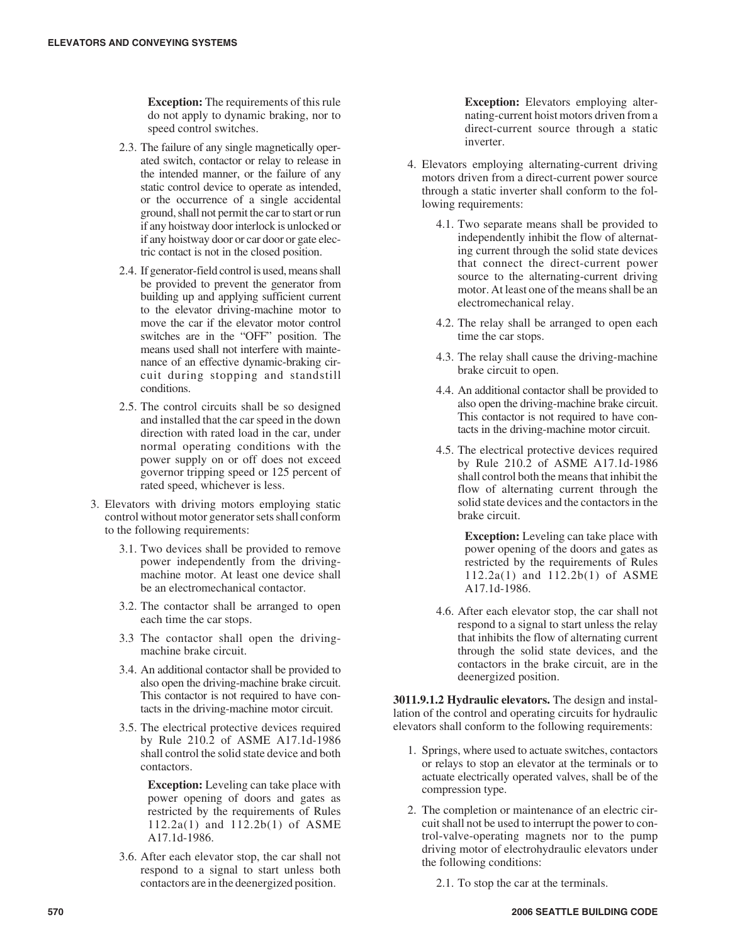**Exception:** The requirements of this rule do not apply to dynamic braking, nor to speed control switches.

- 2.3. The failure of any single magnetically operated switch, contactor or relay to release in the intended manner, or the failure of any static control device to operate as intended, or the occurrence of a single accidental ground, shall not permit the car to start or run if any hoistway door interlock is unlocked or if any hoistway door or car door or gate electric contact is not in the closed position.
- 2.4. If generator-field control is used, means shall be provided to prevent the generator from building up and applying sufficient current to the elevator driving-machine motor to move the car if the elevator motor control switches are in the "OFF" position. The means used shall not interfere with maintenance of an effective dynamic-braking circuit during stopping and standstill conditions.
- 2.5. The control circuits shall be so designed and installed that the car speed in the down direction with rated load in the car, under normal operating conditions with the power supply on or off does not exceed governor tripping speed or 125 percent of rated speed, whichever is less.
- 3. Elevators with driving motors employing static control without motor generator sets shall conform to the following requirements:
	- 3.1. Two devices shall be provided to remove power independently from the drivingmachine motor. At least one device shall be an electromechanical contactor.
	- 3.2. The contactor shall be arranged to open each time the car stops.
	- 3.3 The contactor shall open the drivingmachine brake circuit.
	- 3.4. An additional contactor shall be provided to also open the driving-machine brake circuit. This contactor is not required to have contacts in the driving-machine motor circuit.
	- 3.5. The electrical protective devices required by Rule 210.2 of ASME A17.1d-1986 shall control the solid state device and both contactors.

**Exception:** Leveling can take place with power opening of doors and gates as restricted by the requirements of Rules 112.2a(1) and 112.2b(1) of ASME A17.1d-1986.

3.6. After each elevator stop, the car shall not respond to a signal to start unless both contactors are in the deenergized position.

**Exception:** Elevators employing alternating-current hoist motors driven from a direct-current source through a static inverter.

- 4. Elevators employing alternating-current driving motors driven from a direct-current power source through a static inverter shall conform to the following requirements:
	- 4.1. Two separate means shall be provided to independently inhibit the flow of alternating current through the solid state devices that connect the direct-current power source to the alternating-current driving motor. At least one of the means shall be an electromechanical relay.
	- 4.2. The relay shall be arranged to open each time the car stops.
	- 4.3. The relay shall cause the driving-machine brake circuit to open.
	- 4.4. An additional contactor shall be provided to also open the driving-machine brake circuit. This contactor is not required to have contacts in the driving-machine motor circuit.
	- 4.5. The electrical protective devices required by Rule 210.2 of ASME A17.1d-1986 shall control both the means that inhibit the flow of alternating current through the solid state devices and the contactors in the brake circuit.

**Exception:** Leveling can take place with power opening of the doors and gates as restricted by the requirements of Rules 112.2a(1) and 112.2b(1) of ASME A17.1d-1986.

4.6. After each elevator stop, the car shall not respond to a signal to start unless the relay that inhibits the flow of alternating current through the solid state devices, and the contactors in the brake circuit, are in the deenergized position.

**3011.9.1.2 Hydraulic elevators.** The design and installation of the control and operating circuits for hydraulic elevators shall conform to the following requirements:

- 1. Springs, where used to actuate switches, contactors or relays to stop an elevator at the terminals or to actuate electrically operated valves, shall be of the compression type.
- 2. The completion or maintenance of an electric circuit shall not be used to interrupt the power to control-valve-operating magnets nor to the pump driving motor of electrohydraulic elevators under the following conditions:
	- 2.1. To stop the car at the terminals.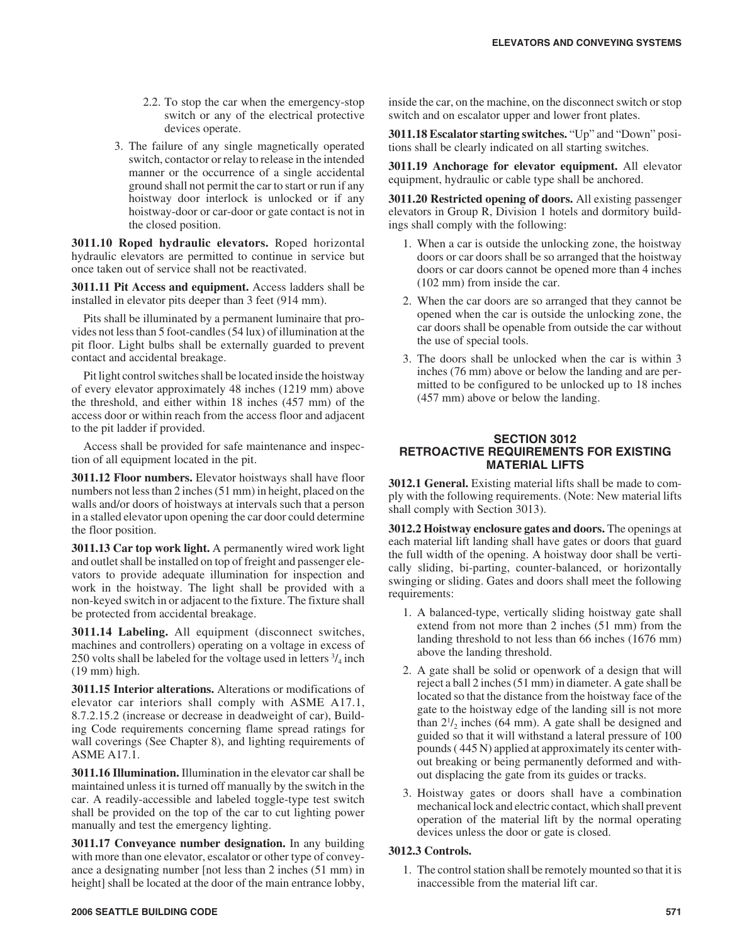- 2.2. To stop the car when the emergency-stop switch or any of the electrical protective devices operate.
- 3. The failure of any single magnetically operated switch, contactor or relay to release in the intended manner or the occurrence of a single accidental ground shall not permit the car to start or run if any hoistway door interlock is unlocked or if any hoistway-door or car-door or gate contact is not in the closed position.

**3011.10 Roped hydraulic elevators.** Roped horizontal hydraulic elevators are permitted to continue in service but once taken out of service shall not be reactivated.

**3011.11 Pit Access and equipment.** Access ladders shall be installed in elevator pits deeper than 3 feet (914 mm).

Pits shall be illuminated by a permanent luminaire that provides not less than 5 foot-candles (54 lux) of illumination at the pit floor. Light bulbs shall be externally guarded to prevent contact and accidental breakage.

Pit light control switches shall be located inside the hoistway of every elevator approximately 48 inches (1219 mm) above the threshold, and either within 18 inches (457 mm) of the access door or within reach from the access floor and adjacent to the pit ladder if provided.

Access shall be provided for safe maintenance and inspection of all equipment located in the pit.

**3011.12 Floor numbers.** Elevator hoistways shall have floor numbers not less than 2 inches (51 mm) in height, placed on the walls and/or doors of hoistways at intervals such that a person in a stalled elevator upon opening the car door could determine the floor position.

**3011.13 Car top work light.** A permanently wired work light and outlet shall be installed on top of freight and passenger elevators to provide adequate illumination for inspection and work in the hoistway. The light shall be provided with a non-keyed switch in or adjacent to the fixture. The fixture shall be protected from accidental breakage.

**3011.14 Labeling.** All equipment (disconnect switches, machines and controllers) operating on a voltage in excess of 250 volts shall be labeled for the voltage used in letters  $\frac{3}{4}$  inch (19 mm) high.

**3011.15 Interior alterations.** Alterations or modifications of elevator car interiors shall comply with ASME A17.1, 8.7.2.15.2 (increase or decrease in deadweight of car), Building Code requirements concerning flame spread ratings for wall coverings (See Chapter 8), and lighting requirements of ASME A17.1.

**3011.16 Illumination.** Illumination in the elevator car shall be maintained unless it is turned off manually by the switch in the car. A readily-accessible and labeled toggle-type test switch shall be provided on the top of the car to cut lighting power manually and test the emergency lighting.

**3011.17 Conveyance number designation.** In any building with more than one elevator, escalator or other type of conveyance a designating number [not less than 2 inches (51 mm) in height] shall be located at the door of the main entrance lobby,

**3011.18 Escalator starting switches.** "Up" and "Down" positions shall be clearly indicated on all starting switches.

**3011.19 Anchorage for elevator equipment.** All elevator equipment, hydraulic or cable type shall be anchored.

**3011.20 Restricted opening of doors.** All existing passenger elevators in Group R, Division 1 hotels and dormitory buildings shall comply with the following:

- 1. When a car is outside the unlocking zone, the hoistway doors or car doors shall be so arranged that the hoistway doors or car doors cannot be opened more than 4 inches (102 mm) from inside the car.
- 2. When the car doors are so arranged that they cannot be opened when the car is outside the unlocking zone, the car doors shall be openable from outside the car without the use of special tools.
- 3. The doors shall be unlocked when the car is within 3 inches (76 mm) above or below the landing and are permitted to be configured to be unlocked up to 18 inches (457 mm) above or below the landing.

# **SECTION 3012 RETROACTIVE REQUIREMENTS FOR EXISTING MATERIAL LIFTS**

**3012.1 General.** Existing material lifts shall be made to comply with the following requirements. (Note: New material lifts shall comply with Section 3013).

**3012.2 Hoistway enclosure gates and doors.** The openings at each material lift landing shall have gates or doors that guard the full width of the opening. A hoistway door shall be vertically sliding, bi-parting, counter-balanced, or horizontally swinging or sliding. Gates and doors shall meet the following requirements:

- 1. A balanced-type, vertically sliding hoistway gate shall extend from not more than 2 inches (51 mm) from the landing threshold to not less than 66 inches (1676 mm) above the landing threshold.
- 2. A gate shall be solid or openwork of a design that will reject a ball 2 inches (51 mm) in diameter. A gate shall be located so that the distance from the hoistway face of the gate to the hoistway edge of the landing sill is not more than  $2^{1/2}$  inches (64 mm). A gate shall be designed and guided so that it will withstand a lateral pressure of 100 pounds ( 445 N) applied at approximately its center without breaking or being permanently deformed and without displacing the gate from its guides or tracks.
- 3. Hoistway gates or doors shall have a combination mechanical lock and electric contact, which shall prevent operation of the material lift by the normal operating devices unless the door or gate is closed.

# **3012.3 Controls.**

1. The control station shall be remotely mounted so that it is inaccessible from the material lift car.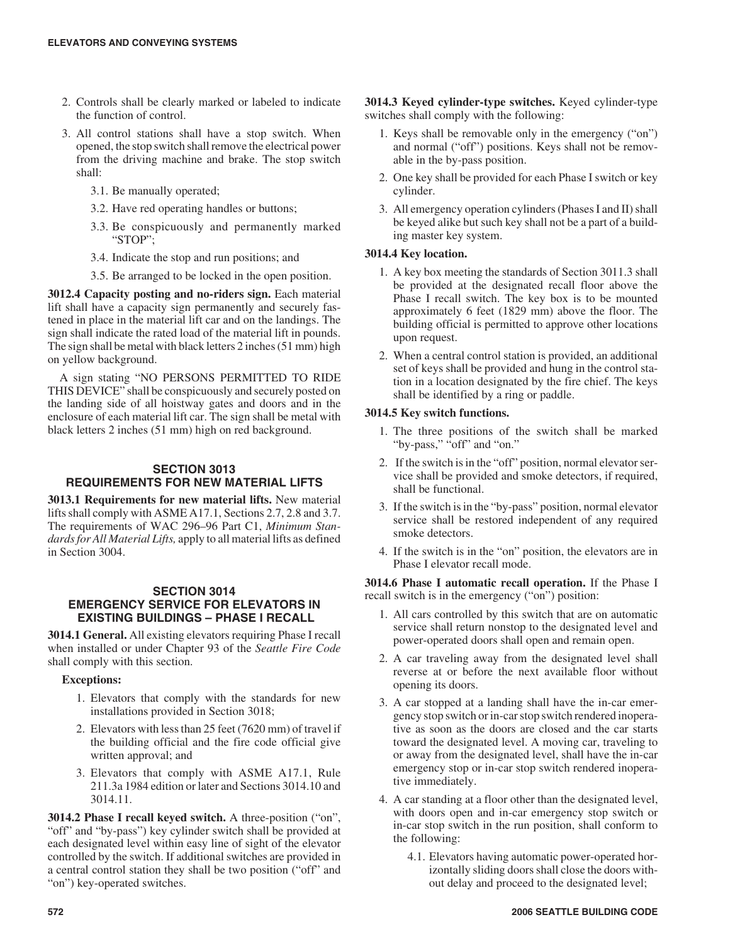- 2. Controls shall be clearly marked or labeled to indicate the function of control.
- 3. All control stations shall have a stop switch. When opened, the stop switch shall remove the electrical power from the driving machine and brake. The stop switch shall:
	- 3.1. Be manually operated;
	- 3.2. Have red operating handles or buttons;
	- 3.3. Be conspicuously and permanently marked "STOP";
	- 3.4. Indicate the stop and run positions; and
	- 3.5. Be arranged to be locked in the open position.

**3012.4 Capacity posting and no-riders sign.** Each material lift shall have a capacity sign permanently and securely fastened in place in the material lift car and on the landings. The sign shall indicate the rated load of the material lift in pounds. The sign shall be metal with black letters 2 inches (51 mm) high on yellow background.

A sign stating "NO PERSONS PERMITTED TO RIDE THIS DEVICE" shall be conspicuously and securely posted on the landing side of all hoistway gates and doors and in the enclosure of each material lift car. The sign shall be metal with black letters 2 inches (51 mm) high on red background.

# **SECTION 3013 REQUIREMENTS FOR NEW MATERIAL LIFTS**

**3013.1 Requirements for new material lifts.** New material lifts shall comply with ASME A17.1, Sections 2.7, 2.8 and 3.7. The requirements of WAC 296–96 Part C1, *Minimum Standards for All Material Lifts,* apply to all material lifts as defined in Section 3004.

# **SECTION 3014 EMERGENCY SERVICE FOR ELEVATORS IN EXISTING BUILDINGS – PHASE I RECALL**

**3014.1 General.** All existing elevators requiring Phase I recall when installed or under Chapter 93 of the *Seattle Fire Code* shall comply with this section.

# **Exceptions:**

- 1. Elevators that comply with the standards for new installations provided in Section 3018;
- 2. Elevators with less than 25 feet (7620 mm) of travel if the building official and the fire code official give written approval; and
- 3. Elevators that comply with ASME A17.1, Rule 211.3a 1984 edition or later and Sections 3014.10 and 3014.11.

**3014.2 Phase I recall keyed switch.** A three-position ("on", "off" and "by-pass") key cylinder switch shall be provided at each designated level within easy line of sight of the elevator controlled by the switch. If additional switches are provided in a central control station they shall be two position ("off" and "on") key-operated switches.

**3014.3 Keyed cylinder-type switches.** Keyed cylinder-type switches shall comply with the following:

- 1. Keys shall be removable only in the emergency ("on") and normal ("off") positions. Keys shall not be removable in the by-pass position.
- 2. One key shall be provided for each Phase I switch or key cylinder.
- 3. All emergency operation cylinders (Phases I and II) shall be keyed alike but such key shall not be a part of a building master key system.

# **3014.4 Key location.**

- 1. A key box meeting the standards of Section 3011.3 shall be provided at the designated recall floor above the Phase I recall switch. The key box is to be mounted approximately 6 feet (1829 mm) above the floor. The building official is permitted to approve other locations upon request.
- 2. When a central control station is provided, an additional set of keys shall be provided and hung in the control station in a location designated by the fire chief. The keys shall be identified by a ring or paddle.

# **3014.5 Key switch functions.**

- 1. The three positions of the switch shall be marked "by-pass," "off" and "on."
- 2. If the switch is in the "off" position, normal elevator service shall be provided and smoke detectors, if required, shall be functional.
- 3. If the switch is in the "by-pass" position, normal elevator service shall be restored independent of any required smoke detectors.
- 4. If the switch is in the "on" position, the elevators are in Phase I elevator recall mode.

**3014.6 Phase I automatic recall operation.** If the Phase I recall switch is in the emergency ("on") position:

- 1. All cars controlled by this switch that are on automatic service shall return nonstop to the designated level and power-operated doors shall open and remain open.
- 2. A car traveling away from the designated level shall reverse at or before the next available floor without opening its doors.
- 3. A car stopped at a landing shall have the in-car emergency stop switch or in-car stop switch rendered inoperative as soon as the doors are closed and the car starts toward the designated level. A moving car, traveling to or away from the designated level, shall have the in-car emergency stop or in-car stop switch rendered inoperative immediately.
- 4. A car standing at a floor other than the designated level, with doors open and in-car emergency stop switch or in-car stop switch in the run position, shall conform to the following:
	- 4.1. Elevators having automatic power-operated horizontally sliding doors shall close the doors without delay and proceed to the designated level;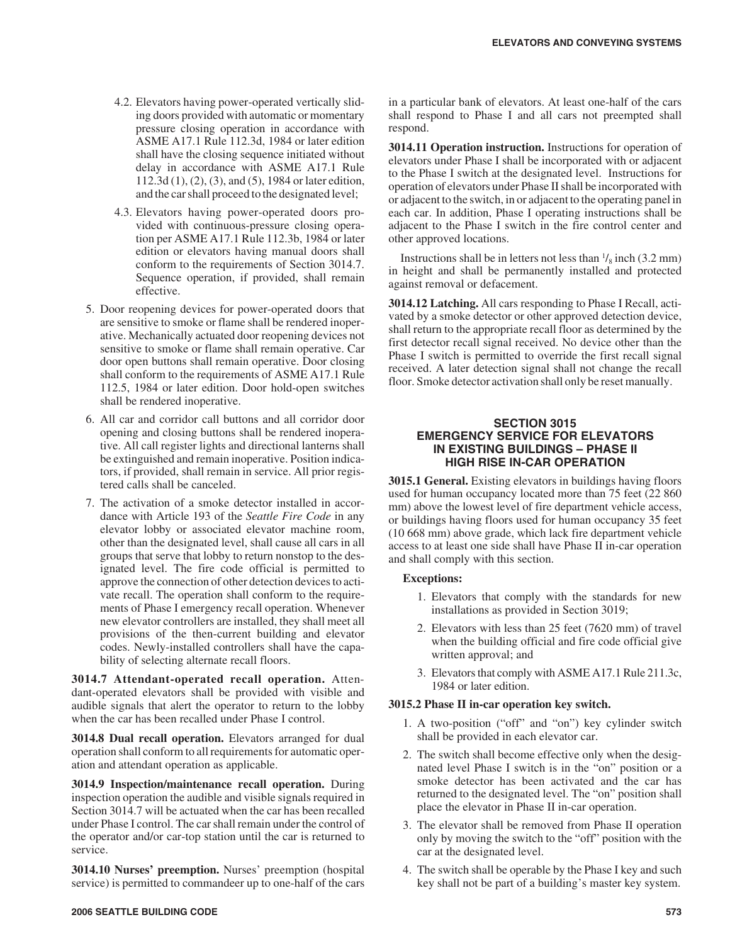- 4.2. Elevators having power-operated vertically sliding doors provided with automatic or momentary pressure closing operation in accordance with ASME A17.1 Rule 112.3d, 1984 or later edition shall have the closing sequence initiated without delay in accordance with ASME A17.1 Rule 112.3d (1), (2), (3), and (5), 1984 or later edition, and the car shall proceed to the designated level;
- 4.3. Elevators having power-operated doors provided with continuous-pressure closing operation per ASME A17.1 Rule 112.3b, 1984 or later edition or elevators having manual doors shall conform to the requirements of Section 3014.7. Sequence operation, if provided, shall remain effective.
- 5. Door reopening devices for power-operated doors that are sensitive to smoke or flame shall be rendered inoperative. Mechanically actuated door reopening devices not sensitive to smoke or flame shall remain operative. Car door open buttons shall remain operative. Door closing shall conform to the requirements of ASME A17.1 Rule 112.5, 1984 or later edition. Door hold-open switches shall be rendered inoperative.
- 6. All car and corridor call buttons and all corridor door opening and closing buttons shall be rendered inoperative. All call register lights and directional lanterns shall be extinguished and remain inoperative. Position indicators, if provided, shall remain in service. All prior registered calls shall be canceled.
- 7. The activation of a smoke detector installed in accordance with Article 193 of the *Seattle Fire Code* in any elevator lobby or associated elevator machine room, other than the designated level, shall cause all cars in all groups that serve that lobby to return nonstop to the designated level. The fire code official is permitted to approve the connection of other detection devices to activate recall. The operation shall conform to the requirements of Phase I emergency recall operation. Whenever new elevator controllers are installed, they shall meet all provisions of the then-current building and elevator codes. Newly-installed controllers shall have the capability of selecting alternate recall floors.

**3014.7 Attendant-operated recall operation.** Attendant-operated elevators shall be provided with visible and audible signals that alert the operator to return to the lobby when the car has been recalled under Phase I control.

**3014.8 Dual recall operation.** Elevators arranged for dual operation shall conform to all requirements for automatic operation and attendant operation as applicable.

**3014.9 Inspection/maintenance recall operation.** During inspection operation the audible and visible signals required in Section 3014.7 will be actuated when the car has been recalled under Phase I control. The car shall remain under the control of the operator and/or car-top station until the car is returned to service.

**3014.10 Nurses' preemption.** Nurses' preemption (hospital service) is permitted to commandeer up to one-half of the cars in a particular bank of elevators. At least one-half of the cars shall respond to Phase I and all cars not preempted shall respond.

**3014.11 Operation instruction.** Instructions for operation of elevators under Phase I shall be incorporated with or adjacent to the Phase I switch at the designated level. Instructions for operation of elevators under Phase II shall be incorporated with or adjacent to the switch, in or adjacent to the operating panel in each car. In addition, Phase I operating instructions shall be adjacent to the Phase I switch in the fire control center and other approved locations.

Instructions shall be in letters not less than  $\frac{1}{8}$  inch (3.2 mm) in height and shall be permanently installed and protected against removal or defacement.

**3014.12 Latching.** All cars responding to Phase I Recall, activated by a smoke detector or other approved detection device, shall return to the appropriate recall floor as determined by the first detector recall signal received. No device other than the Phase I switch is permitted to override the first recall signal received. A later detection signal shall not change the recall floor. Smoke detector activation shall only be reset manually.

# **SECTION 3015 EMERGENCY SERVICE FOR ELEVATORS IN EXISTING BUILDINGS – PHASE II HIGH RISE IN-CAR OPERATION**

**3015.1 General.** Existing elevators in buildings having floors used for human occupancy located more than 75 feet (22 860 mm) above the lowest level of fire department vehicle access, or buildings having floors used for human occupancy 35 feet (10 668 mm) above grade, which lack fire department vehicle access to at least one side shall have Phase II in-car operation and shall comply with this section.

# **Exceptions:**

- 1. Elevators that comply with the standards for new installations as provided in Section 3019;
- 2. Elevators with less than 25 feet (7620 mm) of travel when the building official and fire code official give written approval; and
- 3. Elevators that comply with ASME A17.1 Rule 211.3c, 1984 or later edition.

#### **3015.2 Phase II in-car operation key switch.**

- 1. A two-position ("off" and "on") key cylinder switch shall be provided in each elevator car.
- 2. The switch shall become effective only when the designated level Phase I switch is in the "on" position or a smoke detector has been activated and the car has returned to the designated level. The "on" position shall place the elevator in Phase II in-car operation.
- 3. The elevator shall be removed from Phase II operation only by moving the switch to the "off" position with the car at the designated level.
- 4. The switch shall be operable by the Phase I key and such key shall not be part of a building's master key system.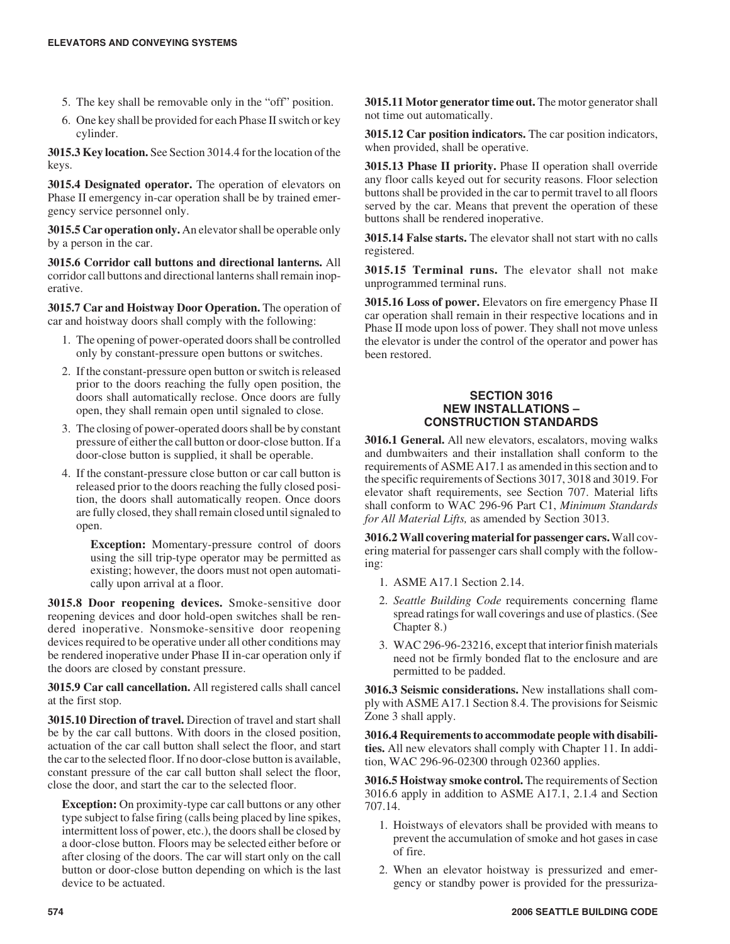- 5. The key shall be removable only in the "off" position.
- 6. One key shall be provided for each Phase II switch or key cylinder.

**3015.3 Key location.** See Section 3014.4 for the location of the keys.

**3015.4 Designated operator.** The operation of elevators on Phase II emergency in-car operation shall be by trained emergency service personnel only.

**3015.5 Car operation only.** An elevator shall be operable only by a person in the car.

**3015.6 Corridor call buttons and directional lanterns.** All corridor call buttons and directional lanterns shall remain inoperative.

**3015.7 Car and Hoistway Door Operation.** The operation of car and hoistway doors shall comply with the following:

- 1. The opening of power-operated doors shall be controlled only by constant-pressure open buttons or switches.
- 2. If the constant-pressure open button or switch is released prior to the doors reaching the fully open position, the doors shall automatically reclose. Once doors are fully open, they shall remain open until signaled to close.
- 3. The closing of power-operated doors shall be by constant pressure of either the call button or door-close button. If a door-close button is supplied, it shall be operable.
- 4. If the constant-pressure close button or car call button is released prior to the doors reaching the fully closed position, the doors shall automatically reopen. Once doors are fully closed, they shall remain closed until signaled to open.

**Exception:** Momentary-pressure control of doors using the sill trip-type operator may be permitted as existing; however, the doors must not open automatically upon arrival at a floor.

**3015.8 Door reopening devices.** Smoke-sensitive door reopening devices and door hold-open switches shall be rendered inoperative. Nonsmoke-sensitive door reopening devices required to be operative under all other conditions may be rendered inoperative under Phase II in-car operation only if the doors are closed by constant pressure.

**3015.9 Car call cancellation.** All registered calls shall cancel at the first stop.

**3015.10 Direction of travel.** Direction of travel and start shall be by the car call buttons. With doors in the closed position, actuation of the car call button shall select the floor, and start the car to the selected floor. If no door-close button is available, constant pressure of the car call button shall select the floor, close the door, and start the car to the selected floor.

**Exception:** On proximity-type car call buttons or any other type subject to false firing (calls being placed by line spikes, intermittent loss of power, etc.), the doors shall be closed by a door-close button. Floors may be selected either before or after closing of the doors. The car will start only on the call button or door-close button depending on which is the last device to be actuated.

**3015.11 Motor generator time out.** The motor generator shall not time out automatically.

**3015.12 Car position indicators.** The car position indicators, when provided, shall be operative.

**3015.13 Phase II priority.** Phase II operation shall override any floor calls keyed out for security reasons. Floor selection buttons shall be provided in the car to permit travel to all floors served by the car. Means that prevent the operation of these buttons shall be rendered inoperative.

**3015.14 False starts.** The elevator shall not start with no calls registered.

**3015.15 Terminal runs.** The elevator shall not make unprogrammed terminal runs.

**3015.16 Loss of power.** Elevators on fire emergency Phase II car operation shall remain in their respective locations and in Phase II mode upon loss of power. They shall not move unless the elevator is under the control of the operator and power has been restored.

# **SECTION 3016 NEW INSTALLATIONS – CONSTRUCTION STANDARDS**

**3016.1 General.** All new elevators, escalators, moving walks and dumbwaiters and their installation shall conform to the requirements of ASME A17.1 as amended in this section and to the specific requirements of Sections 3017, 3018 and 3019. For elevator shaft requirements, see Section 707. Material lifts shall conform to WAC 296-96 Part C1, *Minimum Standards for All Material Lifts,* as amended by Section 3013.

**3016.2 Wall covering material for passenger cars.**Wall covering material for passenger cars shall comply with the following:

- 1. ASME A17.1 Section 2.14.
- 2. *Seattle Building Code* requirements concerning flame spread ratings for wall coverings and use of plastics. (See Chapter 8.)
- 3. WAC 296-96-23216, except that interior finish materials need not be firmly bonded flat to the enclosure and are permitted to be padded.

**3016.3 Seismic considerations.** New installations shall comply with ASME A17.1 Section 8.4. The provisions for Seismic Zone 3 shall apply.

**3016.4 Requirements to accommodate people with disabilities.** All new elevators shall comply with Chapter 11. In addition, WAC 296-96-02300 through 02360 applies.

**3016.5 Hoistway smoke control.** The requirements of Section 3016.6 apply in addition to ASME A17.1, 2.1.4 and Section 707.14.

- 1. Hoistways of elevators shall be provided with means to prevent the accumulation of smoke and hot gases in case of fire.
- 2. When an elevator hoistway is pressurized and emergency or standby power is provided for the pressuriza-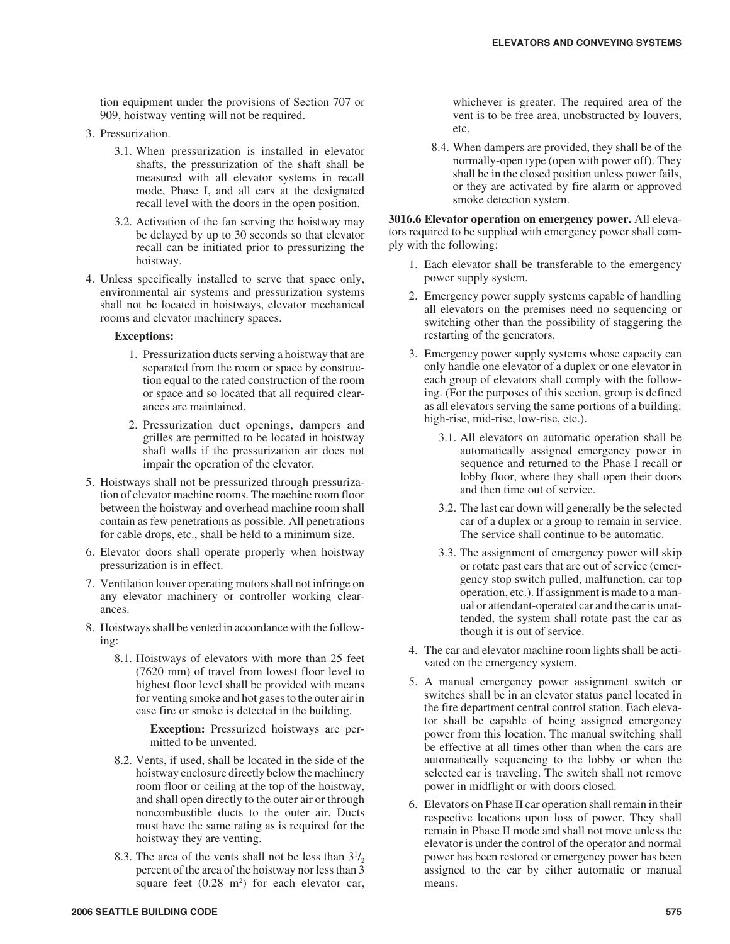tion equipment under the provisions of Section 707 or 909, hoistway venting will not be required.

- 3. Pressurization.
	- 3.1. When pressurization is installed in elevator shafts, the pressurization of the shaft shall be measured with all elevator systems in recall mode, Phase I, and all cars at the designated recall level with the doors in the open position.
	- 3.2. Activation of the fan serving the hoistway may be delayed by up to 30 seconds so that elevator recall can be initiated prior to pressurizing the hoistway.
- 4. Unless specifically installed to serve that space only, environmental air systems and pressurization systems shall not be located in hoistways, elevator mechanical rooms and elevator machinery spaces.

#### **Exceptions:**

- 1. Pressurization ducts serving a hoistway that are separated from the room or space by construction equal to the rated construction of the room or space and so located that all required clearances are maintained.
- 2. Pressurization duct openings, dampers and grilles are permitted to be located in hoistway shaft walls if the pressurization air does not impair the operation of the elevator.
- 5. Hoistways shall not be pressurized through pressurization of elevator machine rooms. The machine room floor between the hoistway and overhead machine room shall contain as few penetrations as possible. All penetrations for cable drops, etc., shall be held to a minimum size.
- 6. Elevator doors shall operate properly when hoistway pressurization is in effect.
- 7. Ventilation louver operating motors shall not infringe on any elevator machinery or controller working clearances.
- 8. Hoistways shall be vented in accordance with the following:
	- 8.1. Hoistways of elevators with more than 25 feet (7620 mm) of travel from lowest floor level to highest floor level shall be provided with means for venting smoke and hot gases to the outer air in case fire or smoke is detected in the building.

**Exception:** Pressurized hoistways are permitted to be unvented.

- 8.2. Vents, if used, shall be located in the side of the hoistway enclosure directly below the machinery room floor or ceiling at the top of the hoistway, and shall open directly to the outer air or through noncombustible ducts to the outer air. Ducts must have the same rating as is required for the hoistway they are venting.
- 8.3. The area of the vents shall not be less than  $3^{1/2}$ , percent of the area of the hoistway nor less than 3 square feet  $(0.28 \text{ m}^2)$  for each elevator car,

whichever is greater. The required area of the vent is to be free area, unobstructed by louvers, etc.

8.4. When dampers are provided, they shall be of the normally-open type (open with power off). They shall be in the closed position unless power fails, or they are activated by fire alarm or approved smoke detection system.

**3016.6 Elevator operation on emergency power.** All elevators required to be supplied with emergency power shall comply with the following:

- 1. Each elevator shall be transferable to the emergency power supply system.
- 2. Emergency power supply systems capable of handling all elevators on the premises need no sequencing or switching other than the possibility of staggering the restarting of the generators.
- 3. Emergency power supply systems whose capacity can only handle one elevator of a duplex or one elevator in each group of elevators shall comply with the following. (For the purposes of this section, group is defined as all elevators serving the same portions of a building: high-rise, mid-rise, low-rise, etc.).
	- 3.1. All elevators on automatic operation shall be automatically assigned emergency power in sequence and returned to the Phase I recall or lobby floor, where they shall open their doors and then time out of service.
	- 3.2. The last car down will generally be the selected car of a duplex or a group to remain in service. The service shall continue to be automatic.
	- 3.3. The assignment of emergency power will skip or rotate past cars that are out of service (emergency stop switch pulled, malfunction, car top operation, etc.). If assignment is made to a manual or attendant-operated car and the car is unattended, the system shall rotate past the car as though it is out of service.
- 4. The car and elevator machine room lights shall be activated on the emergency system.
- 5. A manual emergency power assignment switch or switches shall be in an elevator status panel located in the fire department central control station. Each elevator shall be capable of being assigned emergency power from this location. The manual switching shall be effective at all times other than when the cars are automatically sequencing to the lobby or when the selected car is traveling. The switch shall not remove power in midflight or with doors closed.
- 6. Elevators on Phase II car operation shall remain in their respective locations upon loss of power. They shall remain in Phase II mode and shall not move unless the elevator is under the control of the operator and normal power has been restored or emergency power has been assigned to the car by either automatic or manual means.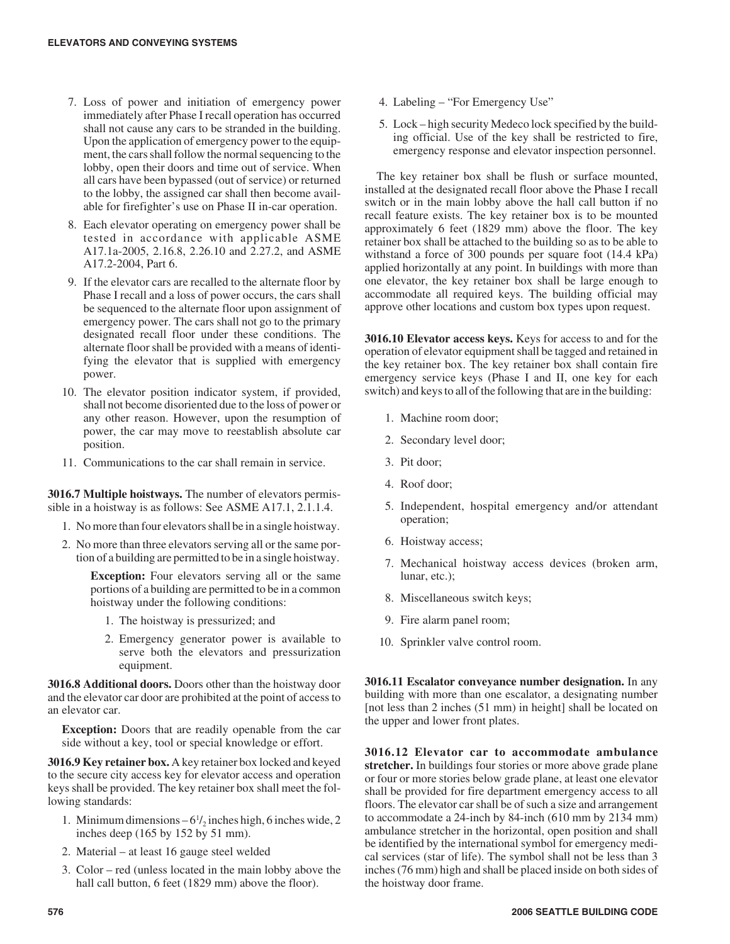- 7. Loss of power and initiation of emergency power immediately after Phase I recall operation has occurred shall not cause any cars to be stranded in the building. Upon the application of emergency power to the equipment, the cars shall follow the normal sequencing to the lobby, open their doors and time out of service. When all cars have been bypassed (out of service) or returned to the lobby, the assigned car shall then become available for firefighter's use on Phase II in-car operation.
- 8. Each elevator operating on emergency power shall be tested in accordance with applicable ASME A17.1a-2005, 2.16.8, 2.26.10 and 2.27.2, and ASME A17.2-2004, Part 6.
- 9. If the elevator cars are recalled to the alternate floor by Phase I recall and a loss of power occurs, the cars shall be sequenced to the alternate floor upon assignment of emergency power. The cars shall not go to the primary designated recall floor under these conditions. The alternate floor shall be provided with a means of identifying the elevator that is supplied with emergency power.
- 10. The elevator position indicator system, if provided, shall not become disoriented due to the loss of power or any other reason. However, upon the resumption of power, the car may move to reestablish absolute car position.
- 11. Communications to the car shall remain in service.

**3016.7 Multiple hoistways.** The number of elevators permissible in a hoistway is as follows: See ASME A17.1, 2.1.1.4.

- 1. No more than four elevators shall be in a single hoistway.
- 2. No more than three elevators serving all or the same portion of a building are permitted to be in a single hoistway.

**Exception:** Four elevators serving all or the same portions of a building are permitted to be in a common hoistway under the following conditions:

- 1. The hoistway is pressurized; and
- 2. Emergency generator power is available to serve both the elevators and pressurization equipment.

**3016.8 Additional doors.** Doors other than the hoistway door and the elevator car door are prohibited at the point of access to an elevator car.

**Exception:** Doors that are readily openable from the car side without a key, tool or special knowledge or effort.

**3016.9 Key retainer box.** A key retainer box locked and keyed to the secure city access key for elevator access and operation keys shall be provided. The key retainer box shall meet the following standards:

- 1. Minimum dimensions  $-6\frac{1}{2}$  inches high, 6 inches wide, 2 inches deep (165 by 152 by 51 mm).
- 2. Material at least 16 gauge steel welded
- 3. Color red (unless located in the main lobby above the hall call button, 6 feet (1829 mm) above the floor).
- 4. Labeling "For Emergency Use"
- 5. Lock high security Medeco lock specified by the building official. Use of the key shall be restricted to fire, emergency response and elevator inspection personnel.

The key retainer box shall be flush or surface mounted, installed at the designated recall floor above the Phase I recall switch or in the main lobby above the hall call button if no recall feature exists. The key retainer box is to be mounted approximately 6 feet (1829 mm) above the floor. The key retainer box shall be attached to the building so as to be able to withstand a force of 300 pounds per square foot (14.4 kPa) applied horizontally at any point. In buildings with more than one elevator, the key retainer box shall be large enough to accommodate all required keys. The building official may approve other locations and custom box types upon request.

**3016.10 Elevator access keys.** Keys for access to and for the operation of elevator equipment shall be tagged and retained in the key retainer box. The key retainer box shall contain fire emergency service keys (Phase I and II, one key for each switch) and keys to all of the following that are in the building:

- 1. Machine room door;
- 2. Secondary level door;
- 3. Pit door;
- 4. Roof door;
- 5. Independent, hospital emergency and/or attendant operation;
- 6. Hoistway access;
- 7. Mechanical hoistway access devices (broken arm, lunar, etc.);
- 8. Miscellaneous switch keys;
- 9. Fire alarm panel room;
- 10. Sprinkler valve control room.

**3016.11 Escalator conveyance number designation.** In any building with more than one escalator, a designating number [not less than 2 inches (51 mm) in height] shall be located on the upper and lower front plates.

**3016.12 Elevator car to accommodate ambulance stretcher.** In buildings four stories or more above grade plane or four or more stories below grade plane, at least one elevator shall be provided for fire department emergency access to all floors. The elevator car shall be of such a size and arrangement to accommodate a 24-inch by 84-inch (610 mm by 2134 mm) ambulance stretcher in the horizontal, open position and shall be identified by the international symbol for emergency medical services (star of life). The symbol shall not be less than 3 inches (76 mm) high and shall be placed inside on both sides of the hoistway door frame.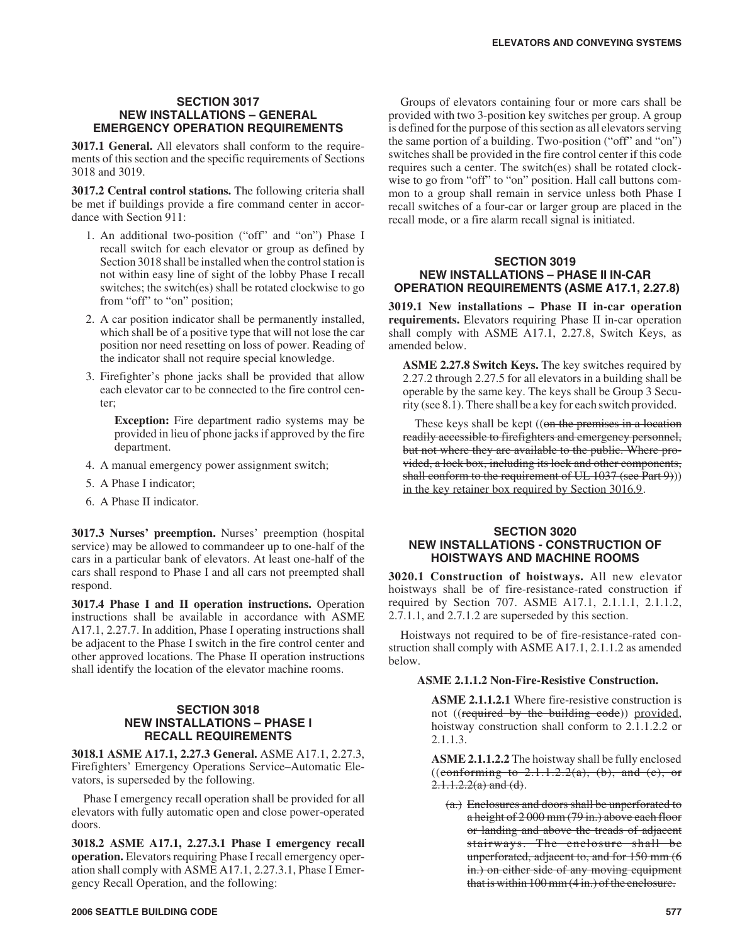#### **SECTION 3017 NEW INSTALLATIONS – GENERAL EMERGENCY OPERATION REQUIREMENTS**

**3017.1 General.** All elevators shall conform to the requirements of this section and the specific requirements of Sections 3018 and 3019.

**3017.2 Central control stations.** The following criteria shall be met if buildings provide a fire command center in accordance with Section 911:

- 1. An additional two-position ("off" and "on") Phase I recall switch for each elevator or group as defined by Section 3018 shall be installed when the control station is not within easy line of sight of the lobby Phase I recall switches; the switch(es) shall be rotated clockwise to go from "off" to "on" position;
- 2. A car position indicator shall be permanently installed, which shall be of a positive type that will not lose the car position nor need resetting on loss of power. Reading of the indicator shall not require special knowledge.
- 3. Firefighter's phone jacks shall be provided that allow each elevator car to be connected to the fire control center;

**Exception:** Fire department radio systems may be provided in lieu of phone jacks if approved by the fire department.

- 4. A manual emergency power assignment switch;
- 5. A Phase I indicator;
- 6. A Phase II indicator.

**3017.3 Nurses' preemption.** Nurses' preemption (hospital service) may be allowed to commandeer up to one-half of the cars in a particular bank of elevators. At least one-half of the cars shall respond to Phase I and all cars not preempted shall respond.

**3017.4 Phase I and II operation instructions.** Operation instructions shall be available in accordance with ASME A17.1, 2.27.7. In addition, Phase I operating instructions shall be adjacent to the Phase I switch in the fire control center and other approved locations. The Phase II operation instructions shall identify the location of the elevator machine rooms.

# **SECTION 3018 NEW INSTALLATIONS – PHASE I RECALL REQUIREMENTS**

**3018.1 ASME A17.1, 2.27.3 General.** ASME A17.1, 2.27.3, Firefighters' Emergency Operations Service–Automatic Elevators, is superseded by the following.

Phase I emergency recall operation shall be provided for all elevators with fully automatic open and close power-operated doors.

**3018.2 ASME A17.1, 2.27.3.1 Phase I emergency recall operation.** Elevators requiring Phase I recall emergency operation shall comply with ASME A17.1, 2.27.3.1, Phase I Emergency Recall Operation, and the following:

Groups of elevators containing four or more cars shall be provided with two 3-position key switches per group. A group is defined for the purpose of this section as all elevators serving the same portion of a building. Two-position ("off" and "on") switches shall be provided in the fire control center if this code requires such a center. The switch(es) shall be rotated clockwise to go from "off" to "on" position. Hall call buttons common to a group shall remain in service unless both Phase I recall switches of a four-car or larger group are placed in the recall mode, or a fire alarm recall signal is initiated.

# **SECTION 3019 NEW INSTALLATIONS – PHASE II IN-CAR OPERATION REQUIREMENTS (ASME A17.1, 2.27.8)**

**3019.1 New installations – Phase II in-car operation requirements.** Elevators requiring Phase II in-car operation shall comply with ASME A17.1, 2.27.8, Switch Keys, as amended below.

**ASME 2.27.8 Switch Keys.** The key switches required by 2.27.2 through 2.27.5 for all elevators in a building shall be operable by the same key. The keys shall be Group 3 Security (see 8.1). There shall be a key for each switch provided.

These keys shall be kept  $((on the premises in a location$ readily accessible to firefighters and emergency personnel, but not where they are available to the public. Where provided, a lock box, including its lock and other components, shall conform to the requirement of UL 1037 (see Part 9))) in the key retainer box required by Section 3016.9.

# **SECTION 3020 NEW INSTALLATIONS - CONSTRUCTION OF HOISTWAYS AND MACHINE ROOMS**

**3020.1 Construction of hoistways.** All new elevator hoistways shall be of fire-resistance-rated construction if required by Section 707. ASME A17.1, 2.1.1.1, 2.1.1.2, 2.7.1.1, and 2.7.1.2 are superseded by this section.

Hoistways not required to be of fire-resistance-rated construction shall comply with ASME A17.1, 2.1.1.2 as amended below.

# **ASME 2.1.1.2 Non-Fire-Resistive Construction.**

**ASME 2.1.1.2.1** Where fire-resistive construction is not ((required by the building code)) provided, hoistway construction shall conform to 2.1.1.2.2 or 2.1.1.3.

**ASME 2.1.1.2.2** The hoistway shall be fully enclosed ((conforming to  $2.1.1.2.2(a)$ , (b), and (c), or  $2.1.1.2.2(a)$  and (d).

(a.) Enclosures and doors shall be unperforated to a height of 2 000 mm (79 in.) above each floor or landing and above the treads of adjacent stairways. The enclosure shall be unperforated, adjacent to, and for 150 mm (6 in.) on either side of any moving equipment that is within 100 mm (4 in.) of the enclosure.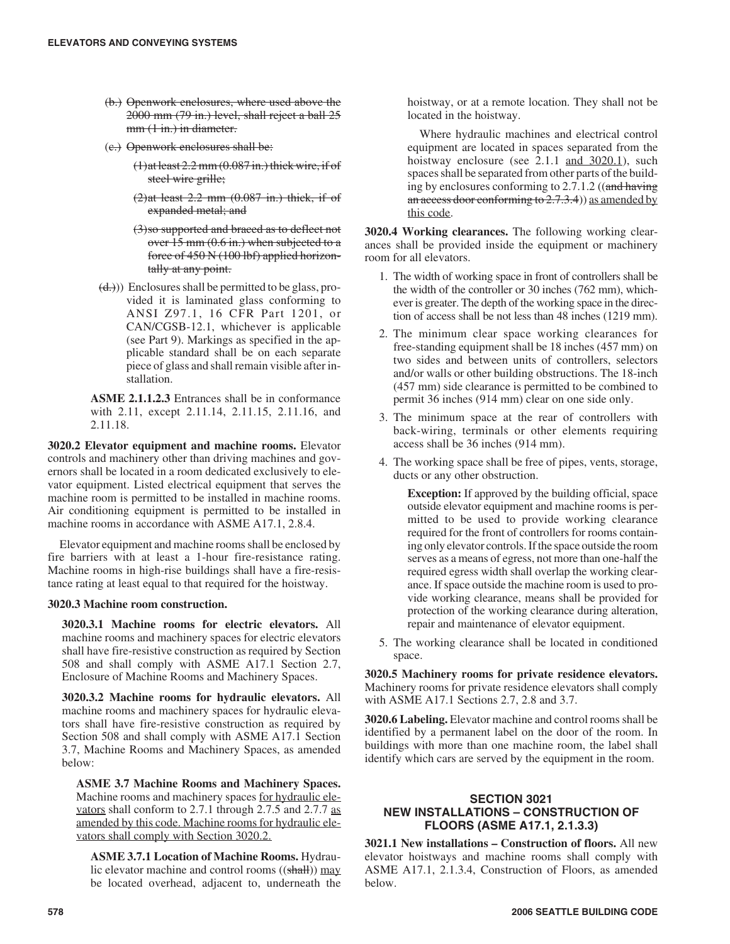- (b.) Openwork enclosures, where used above the 2000 mm (79 in.) level, shall reject a ball 25 mm  $(1 \text{ in.})$  in diameter.
- (c.) Openwork enclosures shall be:
	- $(1)$ at least 2.2 mm  $(0.087 \text{ in.})$  thick wire, if of steel wire grille;
	- $(2)$ at least 2.2 mm  $(0.087$  in.) thick, if of expanded metal; and
	- (3)so supported and braced as to deflect not over  $15 \text{ mm}$  (0.6 in.) when subjected to a force of 450 N (100 lbf) applied horizontally at any point.
- $(\frac{d}{d})$ ) Enclosures shall be permitted to be glass, provided it is laminated glass conforming to ANSI Z97.1, 16 CFR Part 1201, or CAN/CGSB-12.1, whichever is applicable (see Part 9). Markings as specified in the applicable standard shall be on each separate piece of glass and shall remain visible after installation.

**ASME 2.1.1.2.3** Entrances shall be in conformance with 2.11, except 2.11.14, 2.11.15, 2.11.16, and 2.11.18.

**3020.2 Elevator equipment and machine rooms.** Elevator controls and machinery other than driving machines and governors shall be located in a room dedicated exclusively to elevator equipment. Listed electrical equipment that serves the machine room is permitted to be installed in machine rooms. Air conditioning equipment is permitted to be installed in machine rooms in accordance with ASME A17.1, 2.8.4.

Elevator equipment and machine rooms shall be enclosed by fire barriers with at least a 1-hour fire-resistance rating. Machine rooms in high-rise buildings shall have a fire-resistance rating at least equal to that required for the hoistway.

# **3020.3 Machine room construction.**

**3020.3.1 Machine rooms for electric elevators.** All machine rooms and machinery spaces for electric elevators shall have fire-resistive construction as required by Section 508 and shall comply with ASME A17.1 Section 2.7, Enclosure of Machine Rooms and Machinery Spaces.

**3020.3.2 Machine rooms for hydraulic elevators.** All machine rooms and machinery spaces for hydraulic elevators shall have fire-resistive construction as required by Section 508 and shall comply with ASME A17.1 Section 3.7, Machine Rooms and Machinery Spaces, as amended below:

**ASME 3.7 Machine Rooms and Machinery Spaces.** Machine rooms and machinery spaces <u>for hydraulic ele-</u> vators shall conform to 2.7.1 through 2.7.5 and 2.7.7 as amended by this code. Machine rooms for hydraulic elevators shall comply with Section 3020.2.

**ASME 3.7.1 Location of Machine Rooms.** Hydraulic elevator machine and control rooms ((shall)) may be located overhead, adjacent to, underneath the hoistway, or at a remote location. They shall not be located in the hoistway.

Where hydraulic machines and electrical control equipment are located in spaces separated from the hoistway enclosure (see 2.1.1 and 3020.1), such spaces shall be separated from other parts of the building by enclosures conforming to 2.7.1.2 ((and having an access door conforming to  $2.7.3.4$ ) as amended by this code.

**3020.4 Working clearances.** The following working clearances shall be provided inside the equipment or machinery room for all elevators.

- 1. The width of working space in front of controllers shall be the width of the controller or 30 inches (762 mm), whichever is greater. The depth of the working space in the direction of access shall be not less than 48 inches (1219 mm).
- 2. The minimum clear space working clearances for free-standing equipment shall be 18 inches (457 mm) on two sides and between units of controllers, selectors and/or walls or other building obstructions. The 18-inch (457 mm) side clearance is permitted to be combined to permit 36 inches (914 mm) clear on one side only.
- 3. The minimum space at the rear of controllers with back-wiring, terminals or other elements requiring access shall be 36 inches (914 mm).
- 4. The working space shall be free of pipes, vents, storage, ducts or any other obstruction.

**Exception:** If approved by the building official, space outside elevator equipment and machine rooms is permitted to be used to provide working clearance required for the front of controllers for rooms containing only elevator controls. If the space outside the room serves as a means of egress, not more than one-half the required egress width shall overlap the working clearance. If space outside the machine room is used to provide working clearance, means shall be provided for protection of the working clearance during alteration, repair and maintenance of elevator equipment.

5. The working clearance shall be located in conditioned space.

**3020.5 Machinery rooms for private residence elevators.** Machinery rooms for private residence elevators shall comply with ASME A17.1 Sections 2.7, 2.8 and 3.7.

**3020.6 Labeling.** Elevator machine and control rooms shall be identified by a permanent label on the door of the room. In buildings with more than one machine room, the label shall identify which cars are served by the equipment in the room.

# **SECTION 3021 NEW INSTALLATIONS – CONSTRUCTION OF FLOORS (ASME A17.1, 2.1.3.3)**

**3021.1 New installations – Construction of floors.** All new elevator hoistways and machine rooms shall comply with ASME A17.1, 2.1.3.4, Construction of Floors, as amended below.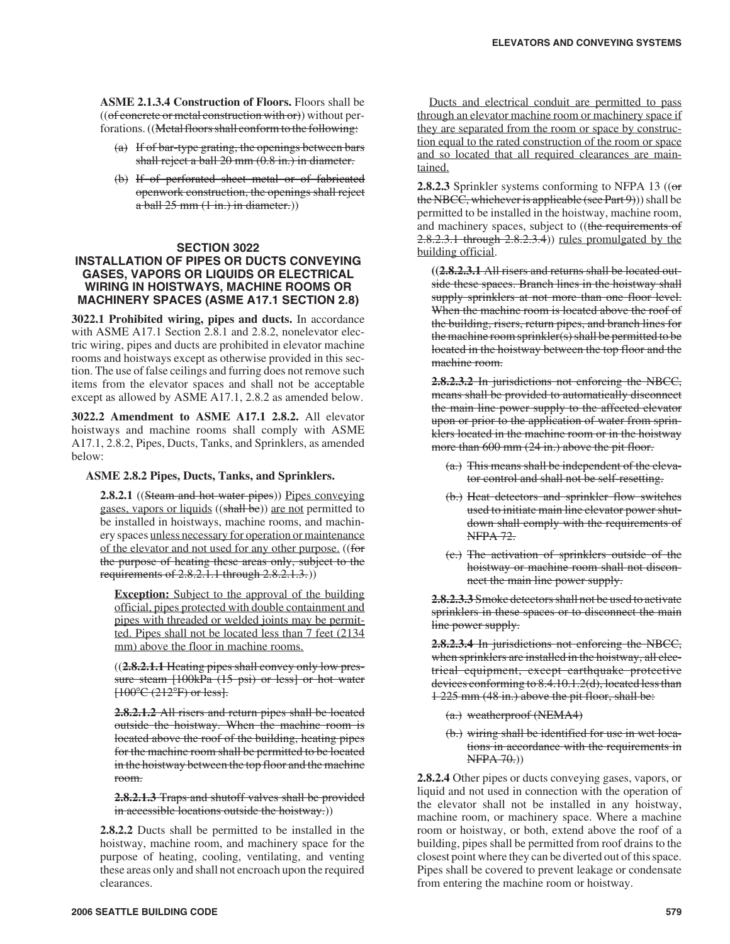**ASME 2.1.3.4 Construction of Floors.** Floors shall be  $((of concrete or metal construction with or))$  without perforations. ((Metal floors shall conform to the following:

- (a) If of bar-type grating, the openings between bars shall reject a ball 20 mm (0.8 in.) in diameter.
- (b) If of perforated sheet metal or of fabricated openwork construction, the openings shall reject  $a$  ball 25 mm  $(1 in.)$  in diameter.)

# **SECTION 3022**

# **INSTALLATION OF PIPES OR DUCTS CONVEYING GASES, VAPORS OR LIQUIDS OR ELECTRICAL WIRING IN HOISTWAYS, MACHINE ROOMS OR MACHINERY SPACES (ASME A17.1 SECTION 2.8)**

**3022.1 Prohibited wiring, pipes and ducts.** In accordance with ASME A17.1 Section 2.8.1 and 2.8.2, nonelevator electric wiring, pipes and ducts are prohibited in elevator machine rooms and hoistways except as otherwise provided in this section. The use of false ceilings and furring does not remove such items from the elevator spaces and shall not be acceptable except as allowed by ASME A17.1, 2.8.2 as amended below.

**3022.2 Amendment to ASME A17.1 2.8.2.** All elevator hoistways and machine rooms shall comply with ASME A17.1, 2.8.2, Pipes, Ducts, Tanks, and Sprinklers, as amended below:

#### **ASME 2.8.2 Pipes, Ducts, Tanks, and Sprinklers.**

**2.8.2.1** ((Steam and hot water pipes)) Pipes conveying gases, vapors or liquids ((shall be)) are not permitted to be installed in hoistways, machine rooms, and machinery spaces unless necessary for operation or maintenance of the elevator and not used for any other purpose. ((for the purpose of heating these areas only, subject to the requirements of 2.8.2.1.1 through 2.8.2.1.3.))

**Exception:** Subject to the approval of the building official, pipes protected with double containment and pipes with threaded or welded joints may be permitted. Pipes shall not be located less than 7 feet (2134 mm) above the floor in machine rooms.

((**2.8.2.1.1** Heating pipes shall convey only low pres- $(2.3.2.1.1 \text{ treating pipes} \text{sinm} \text{ converge only row pressure} \text{ steam}$ <br>sure steam  $[100kPa \ (15 \text{ psi}) \text{ or less}] \text{ or hot water}$ <br> $[100°C \ (212°F) \text{ or less}]$ .  $[100^{\circ}C (212^{\circ}F)$  or less].

**2.8.2.1.2** All risers and return pipes shall be located outside the hoistway. When the machine room is located above the roof of the building, heating pipes for the machine room shall be permitted to be located in the hoistway between the top floor and the machine room.

**2.8.2.1.3** Traps and shutoff valves shall be provided in accessible locations outside the hoistway.)

**2.8.2.2** Ducts shall be permitted to be installed in the hoistway, machine room, and machinery space for the purpose of heating, cooling, ventilating, and venting these areas only and shall not encroach upon the required clearances.

Ducts and electrical conduit are permitted to pass through an elevator machine room or machinery space if they are separated from the room or space by construction equal to the rated construction of the room or space and so located that all required clearances are maintained.

**2.8.2.3** Sprinkler systems conforming to NFPA 13 ((or the NBCC, whichever is applicable (see Part  $9)$ ) shall be permitted to be installed in the hoistway, machine room, and machinery spaces, subject to ((the requirements of 2.8.2.3.1 through 2.8.2.3.4)) rules promulgated by the building official.

**((2.8.2.3.1** All risers and returns shall be located outside these spaces. Branch lines in the hoistway shall supply sprinklers at not more than one floor level. When the machine room is located above the roof of the building, risers, return pipes, and branch lines for the machine room sprinkler(s) shall be permitted to be located in the hoistway between the top floor and the machine room.

**2.8.2.3.2** In jurisdictions not enforcing the NBCC, means shall be provided to automatically disconnect the main line power supply to the affected elevator upon or prior to the application of water from sprinklers located in the machine room or in the hoistway more than 600 mm (24 in.) above the pit floor.

- (a.) This means shall be independent of the elevator control and shall not be self-resetting.
- (b.) Heat detectors and sprinkler flow switches used to initiate main line elevator power shutdown shall comply with the requirements of NFPA 72.
- (c.) The activation of sprinklers outside of the hoistway or machine room shall not disconnect the main line power supply.

**2.8.2.3.3** Smoke detectors shall not be used to activate sprinklers in these spaces or to disconnect the main line power supply.

**2.8.2.3.4** In jurisdictions not enforcing the NBCC, when sprinklers are installed in the hoistway, all electrical equipment, except earthquake protective devices conforming to 8.4.10.1.2(d), located less than 1 225 mm (48 in.) above the pit floor, shall be:

- (a.) weatherproof (NEMA4)
- (b.) wiring shall be identified for use in wet locations in accordance with the requirements in NFPA 70.))

**2.8.2.4** Other pipes or ducts conveying gases, vapors, or liquid and not used in connection with the operation of the elevator shall not be installed in any hoistway, machine room, or machinery space. Where a machine room or hoistway, or both, extend above the roof of a building, pipes shall be permitted from roof drains to the closest point where they can be diverted out of this space. Pipes shall be covered to prevent leakage or condensate from entering the machine room or hoistway.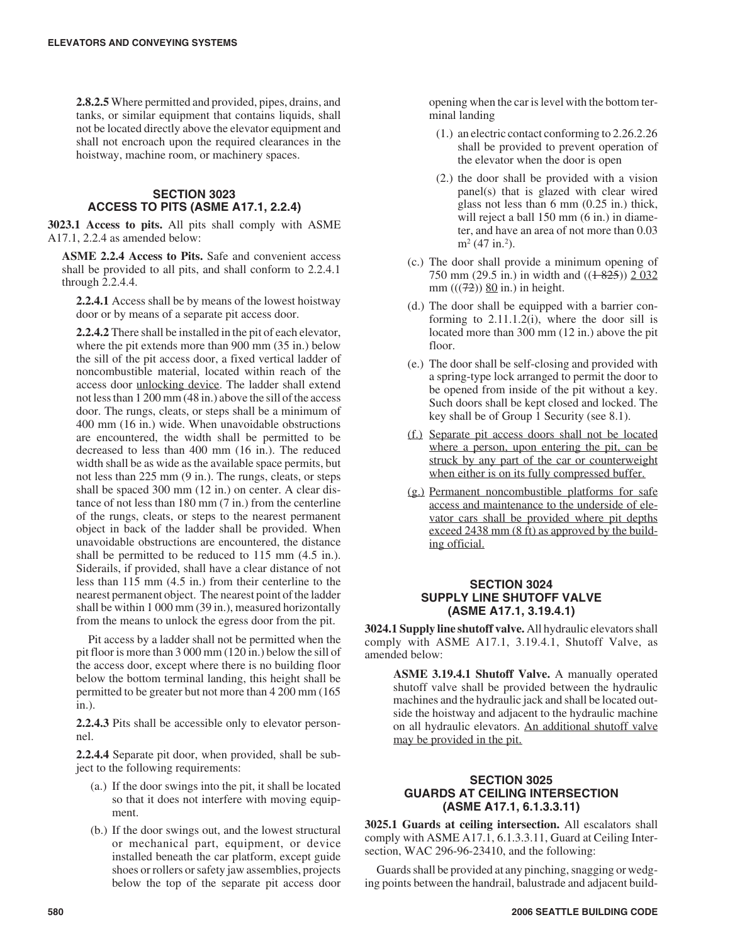**2.8.2.5** Where permitted and provided, pipes, drains, and tanks, or similar equipment that contains liquids, shall not be located directly above the elevator equipment and shall not encroach upon the required clearances in the hoistway, machine room, or machinery spaces.

# **SECTION 3023 ACCESS TO PITS (ASME A17.1, 2.2.4)**

**3023.1 Access to pits.** All pits shall comply with ASME A17.1, 2.2.4 as amended below:

**ASME 2.2.4 Access to Pits.** Safe and convenient access shall be provided to all pits, and shall conform to 2.2.4.1 through 2.2.4.4.

**2.2.4.1** Access shall be by means of the lowest hoistway door or by means of a separate pit access door.

**2.2.4.2** There shall be installed in the pit of each elevator, where the pit extends more than 900 mm (35 in.) below the sill of the pit access door, a fixed vertical ladder of noncombustible material, located within reach of the access door unlocking device. The ladder shall extend not less than 1 200 mm (48 in.) above the sill of the access door. The rungs, cleats, or steps shall be a minimum of 400 mm (16 in.) wide. When unavoidable obstructions are encountered, the width shall be permitted to be decreased to less than 400 mm (16 in.). The reduced width shall be as wide as the available space permits, but not less than 225 mm (9 in.). The rungs, cleats, or steps shall be spaced 300 mm (12 in.) on center. A clear distance of not less than 180 mm (7 in.) from the centerline of the rungs, cleats, or steps to the nearest permanent object in back of the ladder shall be provided. When unavoidable obstructions are encountered, the distance shall be permitted to be reduced to 115 mm (4.5 in.). Siderails, if provided, shall have a clear distance of not less than 115 mm (4.5 in.) from their centerline to the nearest permanent object. The nearest point of the ladder shall be within 1 000 mm (39 in.), measured horizontally from the means to unlock the egress door from the pit.

Pit access by a ladder shall not be permitted when the pit floor is more than 3 000 mm (120 in.) below the sill of the access door, except where there is no building floor below the bottom terminal landing, this height shall be permitted to be greater but not more than 4 200 mm (165 in.).

**2.2.4.3** Pits shall be accessible only to elevator personnel.

**2.2.4.4** Separate pit door, when provided, shall be subject to the following requirements:

- (a.) If the door swings into the pit, it shall be located so that it does not interfere with moving equipment.
- (b.) If the door swings out, and the lowest structural or mechanical part, equipment, or device installed beneath the car platform, except guide shoes or rollers or safety jaw assemblies, projects below the top of the separate pit access door

opening when the car is level with the bottom terminal landing

- (1.) an electric contact conforming to 2.26.2.26 shall be provided to prevent operation of the elevator when the door is open
- (2.) the door shall be provided with a vision panel(s) that is glazed with clear wired glass not less than 6 mm (0.25 in.) thick, will reject a ball 150 mm (6 in.) in diameter, and have an area of not more than 0.03  $m<sup>2</sup>$  (47 in.<sup>2</sup>).
- (c.) The door shall provide a minimum opening of 750 mm (29.5 in.) in width and  $((1825))$  2 032 mm  $(((72))$  80 in.) in height.
- (d.) The door shall be equipped with a barrier conforming to 2.11.1.2(i), where the door sill is located more than 300 mm (12 in.) above the pit floor.
- (e.) The door shall be self-closing and provided with a spring-type lock arranged to permit the door to be opened from inside of the pit without a key. Such doors shall be kept closed and locked. The key shall be of Group 1 Security (see 8.1).
- (f.) Separate pit access doors shall not be located where a person, upon entering the pit, can be struck by any part of the car or counterweight when either is on its fully compressed buffer.
- (g.) Permanent noncombustible platforms for safe access and maintenance to the underside of elevator cars shall be provided where pit depths exceed 2438 mm (8 ft) as approved by the building official.

# **SECTION 3024 SUPPLY LINE SHUTOFF VALVE (ASME A17.1, 3.19.4.1)**

**3024.1 Supply line shutoff valve.** All hydraulic elevators shall comply with ASME A17.1, 3.19.4.1, Shutoff Valve, as amended below:

**ASME 3.19.4.1 Shutoff Valve.** A manually operated shutoff valve shall be provided between the hydraulic machines and the hydraulic jack and shall be located outside the hoistway and adjacent to the hydraulic machine on all hydraulic elevators. An additional shutoff valve may be provided in the pit.

# **SECTION 3025 GUARDS AT CEILING INTERSECTION (ASME A17.1, 6.1.3.3.11)**

**3025.1 Guards at ceiling intersection.** All escalators shall comply with ASME A17.1, 6.1.3.3.11, Guard at Ceiling Intersection, WAC 296-96-23410, and the following:

Guards shall be provided at any pinching, snagging or wedging points between the handrail, balustrade and adjacent build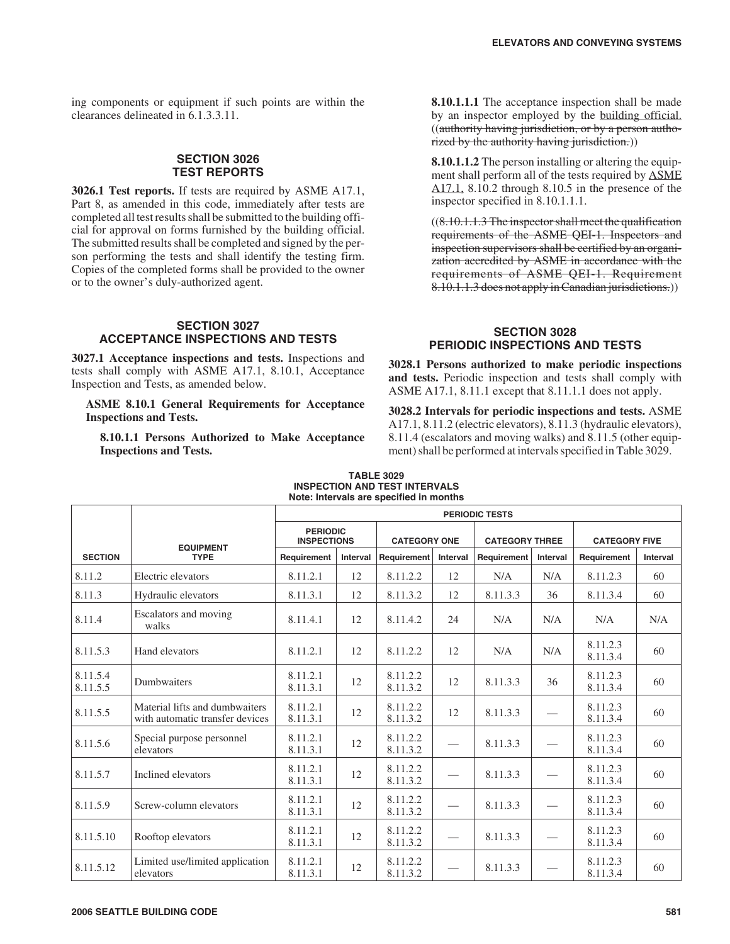ing components or equipment if such points are within the clearances delineated in 6.1.3.3.11.

# **SECTION 3026 TEST REPORTS**

**3026.1 Test reports.** If tests are required by ASME A17.1, Part 8, as amended in this code, immediately after tests are completed all test results shall be submitted to the building official for approval on forms furnished by the building official. The submitted results shall be completed and signed by the person performing the tests and shall identify the testing firm. Copies of the completed forms shall be provided to the owner or to the owner's duly-authorized agent.

#### **SECTION 3027 ACCEPTANCE INSPECTIONS AND TESTS**

**3027.1 Acceptance inspections and tests.** Inspections and tests shall comply with ASME A17.1, 8.10.1, Acceptance Inspection and Tests, as amended below.

**ASME 8.10.1 General Requirements for Acceptance Inspections and Tests.**

**8.10.1.1 Persons Authorized to Make Acceptance Inspections and Tests.**

**8.10.1.1.1** The acceptance inspection shall be made by an inspector employed by the building official. ((authority having jurisdiction, or by a person authorized by the authority having jurisdiction.)

**8.10.1.1.2** The person installing or altering the equipment shall perform all of the tests required by ASME A17.1, 8.10.2 through 8.10.5 in the presence of the inspector specified in 8.10.1.1.1.

 $((8.10.1.1.3)$  The inspector shall meet the qualification requirements of the ASME QEI-1. Inspectors and inspection supervisors shall be certified by an organization accredited by ASME in accordance with the requirements of ASME QEI-1. Requirement 8.10.1.1.3 does not apply in Canadian jurisdictions.))

# **SECTION 3028 PERIODIC INSPECTIONS AND TESTS**

**3028.1 Persons authorized to make periodic inspections and tests.** Periodic inspection and tests shall comply with ASME A17.1, 8.11.1 except that 8.11.1.1 does not apply.

**3028.2 Intervals for periodic inspections and tests.** ASME A17.1, 8.11.2 (electric elevators), 8.11.3 (hydraulic elevators), 8.11.4 (escalators and moving walks) and 8.11.5 (other equipment) shall be performed at intervals specified in Table 3029.

|                      | <b>EQUIPMENT</b>                                                  | <b>PERIODIC TESTS</b>                 |          |                      |          |                       |          |                      |          |
|----------------------|-------------------------------------------------------------------|---------------------------------------|----------|----------------------|----------|-----------------------|----------|----------------------|----------|
|                      |                                                                   | <b>PERIODIC</b><br><b>INSPECTIONS</b> |          | <b>CATEGORY ONE</b>  |          | <b>CATEGORY THREE</b> |          | <b>CATEGORY FIVE</b> |          |
| <b>SECTION</b>       | <b>TYPE</b>                                                       | Requirement                           | Interval | Requirement          | Interval | Requirement           | Interval | Requirement          | Interval |
| 8.11.2               | Electric elevators                                                | 8.11.2.1                              | 12       | 8.11.2.2             | 12       | N/A                   | N/A      | 8.11.2.3             | 60       |
| 8.11.3               | Hydraulic elevators                                               | 8.11.3.1                              | 12       | 8.11.3.2             | 12       | 8.11.3.3              | 36       | 8.11.3.4             | 60       |
| 8.11.4               | Escalators and moving<br>walks                                    | 8.11.4.1                              | 12       | 8.11.4.2             | 24       | N/A                   | N/A      | N/A                  | N/A      |
| 8.11.5.3             | Hand elevators                                                    | 8.11.2.1                              | 12       | 8.11.2.2             | 12       | N/A                   | N/A      | 8.11.2.3<br>8.11.3.4 | 60       |
| 8.11.5.4<br>8.11.5.5 | Dumbwaiters                                                       | 8.11.2.1<br>8.11.3.1                  | 12       | 8.11.2.2<br>8.11.3.2 | 12       | 8.11.3.3              | 36       | 8.11.2.3<br>8.11.3.4 | 60       |
| 8.11.5.5             | Material lifts and dumbwaiters<br>with automatic transfer devices | 8.11.2.1<br>8.11.3.1                  | 12       | 8.11.2.2<br>8.11.3.2 | 12       | 8.11.3.3              |          | 8.11.2.3<br>8.11.3.4 | 60       |
| 8.11.5.6             | Special purpose personnel<br>elevators                            | 8.11.2.1<br>8.11.3.1                  | 12       | 8.11.2.2<br>8.11.3.2 |          | 8.11.3.3              |          | 8.11.2.3<br>8.11.3.4 | 60       |
| 8.11.5.7             | Inclined elevators                                                | 8.11.2.1<br>8.11.3.1                  | 12       | 8.11.2.2<br>8.11.3.2 |          | 8.11.3.3              |          | 8.11.2.3<br>8.11.3.4 | 60       |
| 8.11.5.9             | Screw-column elevators                                            | 8.11.2.1<br>8.11.3.1                  | 12       | 8.11.2.2<br>8.11.3.2 |          | 8.11.3.3              |          | 8.11.2.3<br>8.11.3.4 | 60       |
| 8.11.5.10            | Rooftop elevators                                                 | 8.11.2.1<br>8.11.3.1                  | 12       | 8.11.2.2<br>8.11.3.2 |          | 8.11.3.3              |          | 8.11.2.3<br>8.11.3.4 | 60       |
| 8.11.5.12            | Limited use/limited application<br>elevators                      | 8.11.2.1<br>8.11.3.1                  | 12       | 8.11.2.2<br>8.11.3.2 |          | 8.11.3.3              |          | 8.11.2.3<br>8.11.3.4 | 60       |

# **TABLE 3029**